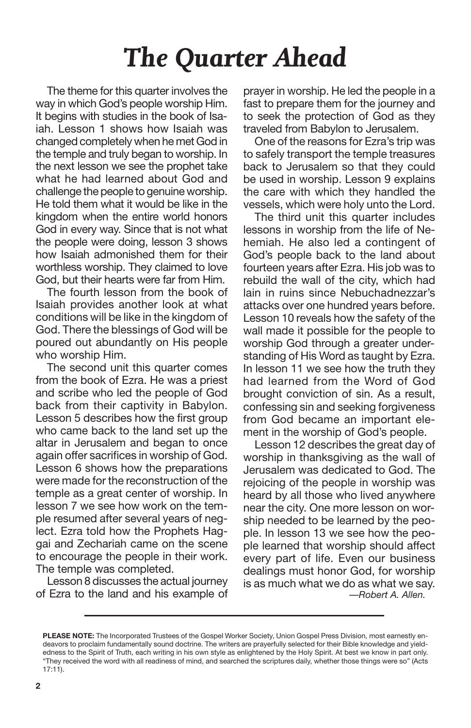## *The Quarter Ahead*

The theme for this quarter involves the way in which God's people worship Him. It begins with studies in the book of Isaiah. Lesson 1 shows how Isaiah was changed completely when he met God in the temple and truly began to worship. In the next lesson we see the prophet take what he had learned about God and challenge the people to genuineworship. He told them what it would be like in the kingdom when the entire world honors God in every way. Since that is not what the people were doing, lesson 3 shows how Isaiah admonished them for their worthless worship. They claimed to love God, but their hearts were far from Him.

The fourth lesson from the book of Isaiah provides another look at what conditions will be like in the kingdom of God. There the blessings of God will be poured out abundantly on His people who worship Him.

The second unit this quarter comes from the book of Ezra. He was a priest and scribe who led the people of God back from their captivity in Babylon. Lesson 5 describes how the first group who came back to the land set up the altar in Jerusalem and began to once again offer sacrifices in worship of God. Lesson 6 shows how the preparations were made for the reconstruction of the temple as a great center of worship. In lesson 7 we see how work on the temple resumed after several years of neglect. Ezra told how the Prophets Haggai and Zechariah came on the scene to encourage the people in their work. The temple was completed.

Lesson 8 discusses the actual journey of Ezra to the land and his example of prayer in worship. He led the people in a fast to prepare them for the journey and to seek the protection of God as they traveled from Babylon to Jerusalem.

One of the reasons for Ezra's trip was to safely transport the temple treasures back to Jerusalem so that they could be used in worship. Lesson 9 explains the care with which they handled the vessels, which were holy unto the Lord.

The third unit this quarter includes lessons in worship from the life of Nehemiah. He also led a contingent of God's people back to the land about fourteen years after Ezra. His job was to rebuild the wall of the city, which had lain in ruins since Nebuchadnezzar's attacks over one hundred years before. Lesson 10 reveals how the safety of the wall made it possible for the people to worship God through a greater understanding of His Word as taught by Ezra. In lesson 11 we see how the truth they had learned from the Word of God brought conviction of sin. As a result, confessing sin and seeking forgiveness from God became an important element in the worship of God's people.

Lesson 12 describes the great day of worship in thanksgiving as the wall of Jerusalem was dedicated to God. The rejoicing of the people in worship was heard by all those who lived anywhere near the city. One more lesson on worship needed to be learned by the people. In lesson 13 we see how the people learned that worship should affect every part of life. Even our business dealings must honor God, for worship is as much what we do as what we say. *—Robert A. Allen.*

**PLEASE NOTE:** The Incorporated Trustees of the Gospel Worker Society, Union Gospel Press Division, most earnestly endeavors to proclaim fundamentally sound doctrine. The writers are prayerfully selected for their Bible knowledge and yieldedness to the Spirit of Truth, each writing in his own style as enlightened by the Holy Spirit. At best we know in part only. "They received the word with all readiness of mind, and searched the scriptures daily, whether those things were so" (Acts 17:11).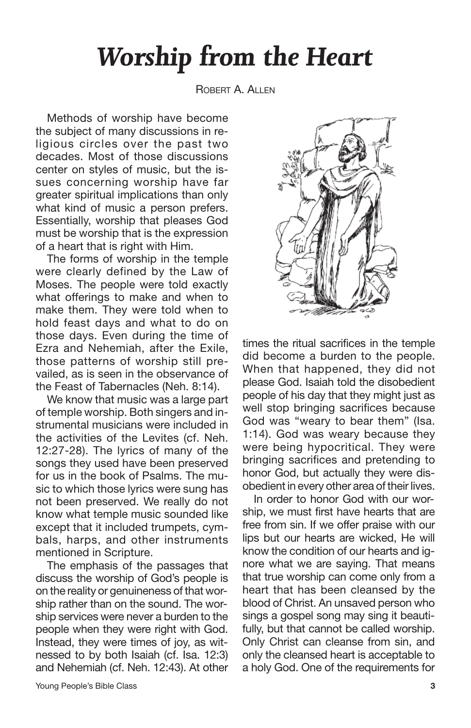## *Worship from the Heart*

ROBERT A. ALLEN

Methods of worship have become the subject of many discussions in religious circles over the past two decades. Most of those discussions center on styles of music, but the issues concerning worship have far greater spiritual implications than only what kind of music a person prefers. Essentially, worship that pleases God must be worship that is the expression of a heart that is right with Him.

The forms of worship in the temple were clearly defined by the Law of Moses. The people were told exactly what offerings to make and when to make them. They were told when to hold feast days and what to do on those days. Even during the time of Ezra and Nehemiah, after the Exile, those patterns of worship still prevailed, as is seen in the observance of the Feast of Tabernacles (Neh. 8:14).

We know that music was a large part of temple worship. Both singers and instrumental musicians were included in the activities of the Levites (cf. Neh. 12:27-28). The lyrics of many of the songs they used have been preserved for us in the book of Psalms. The music to which those lyrics were sung has not been preserved. We really do not know what temple music sounded like except that it included trumpets, cymbals, harps, and other instruments mentioned in Scripture.

The emphasis of the passages that discuss the worship of God's people is on the reality or genuineness of that worship rather than on the sound. The worship services were never a burden to the people when they were right with God. Instead, they were times of joy, as witnessed to by both Isaiah (cf. Isa. 12:3) and Nehemiah (cf. Neh. 12:43). At other

### times the ritual sacrifices in the temple did become a burden to the people. When that happened, they did not please God. Isaiah told the disobedient people of his day that they might just as well stop bringing sacrifices because God was "weary to bear them" (Isa. 1:14). God was weary because they were being hypocritical. They were bringing sacrifices and pretending to honor God, but actually they were disobedient in every other area of their lives.

In order to honor God with our worship, we must first have hearts that are free from sin. If we offer praise with our lips but our hearts are wicked, He will know the condition of our hearts and ignore what we are saying. That means that true worship can come only from a heart that has been cleansed by the blood of Christ. An unsaved person who sings a gospel song may sing it beautifully, but that cannot be called worship. Only Christ can cleanse from sin, and only the cleansed heart is acceptable to a holy God. One of the requirements for

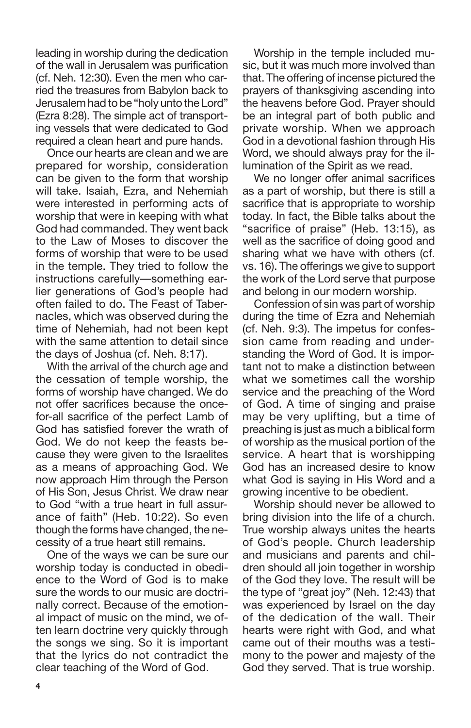leading in worship during the dedication of the wall in Jerusalem was purification (cf. Neh. 12:30). Even the men who carried the treasures from Babylon back to Jerusalem had to be "holy unto the Lord" (Ezra 8:28). The simple act of transporting vessels that were dedicated to God required a clean heart and pure hands.

Once our hearts are clean and we are prepared for worship, consideration can be given to the form that worship will take. Isaiah, Ezra, and Nehemiah were interested in performing acts of worship that were in keeping with what God had commanded. They went back to the Law of Moses to discover the forms of worship that were to be used in the temple. They tried to follow the instructions carefully—something earlier generations of God's people had often failed to do. The Feast of Tabernacles, which was observed during the time of Nehemiah, had not been kept with the same attention to detail since the days of Joshua (cf. Neh. 8:17).

With the arrival of the church age and the cessation of temple worship, the forms of worship have changed. We do not offer sacrifices because the oncefor-all sacrifice of the perfect Lamb of God has satisfied forever the wrath of God. We do not keep the feasts because they were given to the Israelites as a means of approaching God. We now approach Him through the Person of His Son, Jesus Christ. We draw near to God "with a true heart in full assurance of faith" (Heb. 10:22). So even though the forms have changed, the necessity of a true heart still remains.

One of the ways we can be sure our worship today is conducted in obedience to the Word of God is to make sure the words to our music are doctrinally correct. Because of the emotional impact of music on the mind, we often learn doctrine very quickly through the songs we sing. So it is important that the lyrics do not contradict the clear teaching of the Word of God.

Worship in the temple included music, but it was much more involved than that. The offering of incense pictured the prayers of thanksgiving ascending into the heavens before God. Prayer should be an integral part of both public and private worship. When we approach God in a devotional fashion through His Word, we should always pray for the illumination of the Spirit as we read.

We no longer offer animal sacrifices as a part of worship, but there is still a sacrifice that is appropriate to worship today. In fact, the Bible talks about the "sacrifice of praise" (Heb. 13:15), as well as the sacrifice of doing good and sharing what we have with others (cf. vs. 16). The offerings we give to support the work of the Lord serve that purpose and belong in our modern worship.

Confession of sin was part of worship during the time of Ezra and Nehemiah (cf. Neh. 9:3). The impetus for confession came from reading and understanding the Word of God. It is important not to make a distinction between what we sometimes call the worship service and the preaching of the Word of God. A time of singing and praise may be very uplifting, but a time of preaching is just as much a biblical form of worship as the musical portion of the service. A heart that is worshipping God has an increased desire to know what God is saying in His Word and a growing incentive to be obedient.

Worship should never be allowed to bring division into the life of a church. True worship always unites the hearts of God's people. Church leadership and musicians and parents and children should all join together in worship of the God they love. The result will be the type of "great joy" (Neh. 12:43) that was experienced by Israel on the day of the dedication of the wall. Their hearts were right with God, and what came out of their mouths was a testimony to the power and majesty of the God they served. That is true worship.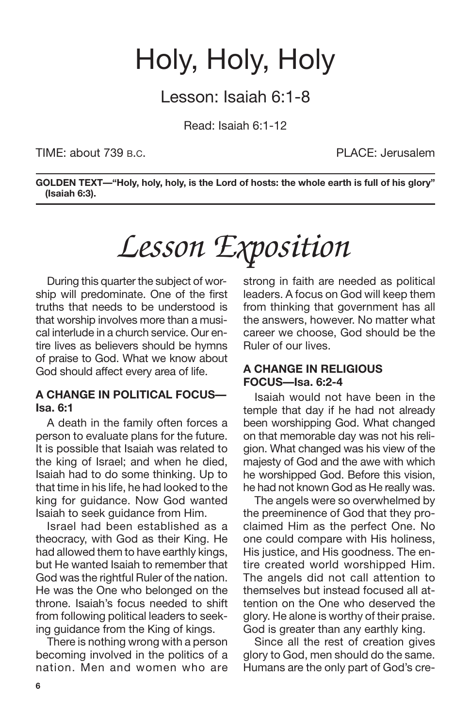## Holy, Holy, Holy

### Lesson: Isaiah 6:1-8

Read: Isaiah 6:1-12

### TIME: about 739 B.C. PLACE: Jerusalem

**GOLDEN TEXT—"Holy, holy, holy, is the Lord of hosts: the whole earth is full of his glory" (Isaiah 6:3).**

# *Lesson Exposition*

During this quarter the subject of worship will predominate. One of the first truths that needs to be understood is that worship involves more than a musical interlude in a church service. Our entire lives as believers should be hymns of praise to God. What we know about God should affect every area of life.

### **A CHANGE IN POLITICAL FOCUS— Isa. 6:1**

A death in the family often forces a person to evaluate plans for the future. It is possible that Isaiah was related to the king of Israel; and when he died, Isaiah had to do some thinking. Up to that time in his life, he had looked to the king for guidance. Now God wanted Isaiah to seek guidance from Him.

Israel had been established as a theocracy, with God as their King. He had allowed them to have earthly kings, but He wanted Isaiah to remember that God was the rightful Ruler of the nation. He was the One who belonged on the throne. Isaiah's focus needed to shift from following political leaders to seeking guidance from the King of kings.

There is nothing wrong with a person becoming involved in the politics of a nation. Men and women who are strong in faith are needed as political leaders. A focus on God will keep them from thinking that government has all the answers, however. No matter what career we choose, God should be the Ruler of our lives.

### **A CHANGE IN RELIGIOUS FOCUS—Isa. 6:2-4**

Isaiah would not have been in the temple that day if he had not already been worshipping God. What changed on that memorable day was not his religion. What changed was his view of the majesty of God and the awe with which he worshipped God. Before this vision, he had not known God as He really was.

The angels were so overwhelmed by the preeminence of God that they proclaimed Him as the perfect One. No one could compare with His holiness, His justice, and His goodness. The entire created world worshipped Him. The angels did not call attention to themselves but instead focused all attention on the One who deserved the glory. He alone is worthy of their praise. God is greater than any earthly king.

Since all the rest of creation gives glory to God, men should do the same. Humans are the only part of God's cre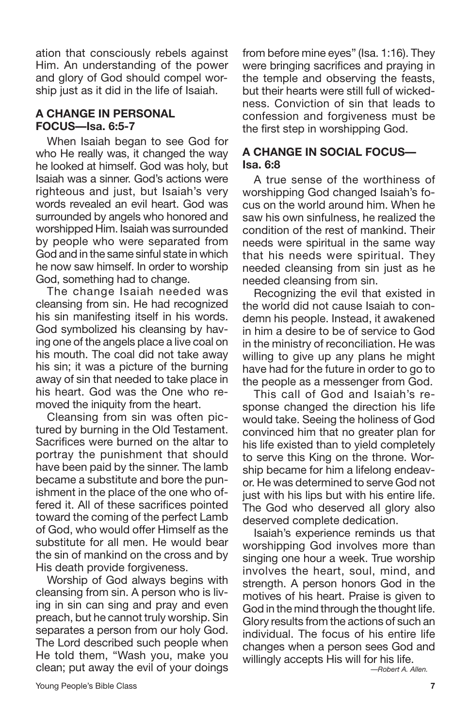ation that consciously rebels against Him. An understanding of the power and glory of God should compel worship just as it did in the life of Isaiah.

### **A CHANGE IN PERSONAL FOCUS—Isa. 6:5-7**

When Isaiah began to see God for who He really was, it changed the way he looked at himself. God was holy, but Isaiah was a sinner. God's actions were righteous and just, but Isaiah's very words revealed an evil heart. God was surrounded by angels who honored and worshipped Him. Isaiah was surrounded by people who were separated from God and in the same sinful state in which he now saw himself. In order to worship God, something had to change.

The change Isaiah needed was cleansing from sin. He had recognized his sin manifesting itself in his words. God symbolized his cleansing by having one of the angels place a live coal on his mouth. The coal did not take away his sin; it was a picture of the burning away of sin that needed to take place in his heart. God was the One who removed the iniquity from the heart.

Cleansing from sin was often pictured by burning in the Old Testament. Sacrifices were burned on the altar to portray the punishment that should have been paid by the sinner. The lamb became a substitute and bore the punishment in the place of the one who offered it. All of these sacrifices pointed toward the coming of the perfect Lamb of God, who would offer Himself as the substitute for all men. He would bear the sin of mankind on the cross and by His death provide forgiveness.

Worship of God always begins with cleansing from sin. A person who is living in sin can sing and pray and even preach, but he cannot truly worship. Sin separates a person from our holy God. The Lord described such people when He told them, "Wash you, make you clean; put away the evil of your doings

from before mine eyes" (Isa. 1:16). They were bringing sacrifices and praying in the temple and observing the feasts, but their hearts were still full of wickedness. Conviction of sin that leads to confession and forgiveness must be the first step in worshipping God.

### **A CHANGE IN SOCIAL FOCUS— Isa. 6:8**

A true sense of the worthiness of worshipping God changed Isaiah's focus on the world around him. When he saw his own sinfulness, he realized the condition of the rest of mankind. Their needs were spiritual in the same way that his needs were spiritual. They needed cleansing from sin just as he needed cleansing from sin.

Recognizing the evil that existed in the world did not cause Isaiah to condemn his people. Instead, it awakened in him a desire to be of service to God in the ministry of reconciliation. He was willing to give up any plans he might have had for the future in order to go to the people as a messenger from God.

This call of God and Isaiah's response changed the direction his life would take. Seeing the holiness of God convinced him that no greater plan for his life existed than to yield completely to serve this King on the throne. Worship became for him a lifelong endeavor. He was determined to serve God not just with his lips but with his entire life. The God who deserved all glory also deserved complete dedication.

Isaiah's experience reminds us that worshipping God involves more than singing one hour a week. True worship involves the heart, soul, mind, and strength. A person honors God in the motives of his heart. Praise is given to God in the mind through the thought life. Glory results from the actions of such an individual. The focus of his entire life changes when a person sees God and willingly accepts His will for his life.

*—Robert A. Allen.*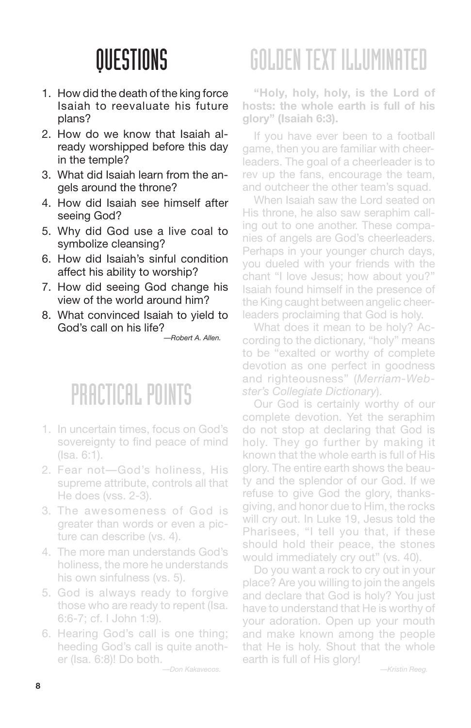- 1. How did the death of the king force Isaiah to reevaluate his future plans?
- 2. How do we know that Isaiah already worshipped before this day in the temple?
- 3. What did Isaiah learn from the angels around the throne?
- 4. How did Isaiah see himself after seeing God?
- 5. Why did God use a live coal to symbolize cleansing?
- 6. How did Isaiah's sinful condition affect his ability to worship?
- 7. How did seeing God change his view of the world around him?
- 8. What convinced Isaiah to yield to God's call on his life?

*—Robert A. Allen.*

## PRACTICAL POINTS

- 1. In uncertain times, focus on God's sovereignty to find peace of mind (Isa. 6:1).
- 2. Fear not—God's holiness, His supreme attribute, controls all that He does (vss. 2-3).
- 3. The awesomeness of God is greater than words or even a picture can describe (vs. 4).
- 4. The more man understands God's holiness, the more he understands his own sinfulness (vs. 5).
- 5. God is always ready to forgive those who are ready to repent (Isa. 6:6-7; cf. I John 1:9).
- 6. Hearing God's call is one thing; heeding God's call is quite another (Isa. 6:8)! Do both.

*—Don Kakavecos.*

## GOLDENTEXT ILLUMINATED

**"Holy, holy, holy, is the Lord of hosts: the whole earth is full of his glory" (Isaiah 6:3).**

If you have ever been to a football game, then you are familiar with cheerleaders. The goal of a cheerleader is to rev up the fans, encourage the team, and outcheer the other team's squad.

When Isaiah saw the Lord seated on His throne, he also saw seraphim calling out to one another. These companies of angels are God's cheerleaders. Perhaps in your younger church days, you dueled with your friends with the chant "I love Jesus; how about you?" Isaiah found himself in the presence of the King caught between angelic cheerleaders proclaiming that God is holy.

What does it mean to be holy? According to the dictionary, "holy" means to be "exalted or worthy of complete devotion as one perfect in goodness and righteousness" (*Merriam-Webster's Collegiate Dictionary*).

Our God is certainly worthy of our complete devotion. Yet the seraphim do not stop at declaring that God is holy. They go further by making it known that the whole earth is full of His glory. The entire earth shows the beauty and the splendor of our God. If we refuse to give God the glory, thanksgiving, and honor due to Him, the rocks will cry out. In Luke 19, Jesus told the Pharisees, "I tell you that, if these should hold their peace, the stones would immediately cry out" (vs. 40).

Do you want a rock to cry out in your place? Are you willing to join the angels and declare that God is holy? You just have to understand that He is worthy of your adoration. Open up your mouth and make known among the people that He is holy. Shout that the whole earth is full of His glory!

*—Kristin Reeg.*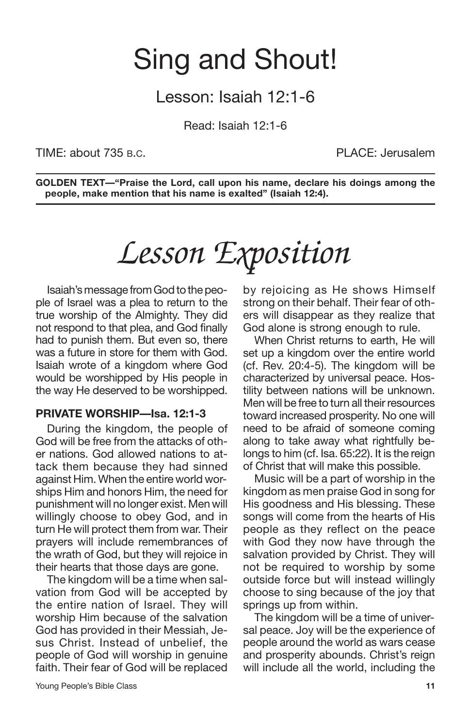## Sing and Shout!

### Lesson: Isaiah 12:1-6

Read: Isaiah 12:1-6

TIME: about 735 B.C. PLACE: Jerusalem

**GOLDEN TEXT—"Praise the Lord, call upon his name, declare his doings among the people, make mention that his name is exalted" (Isaiah 12:4).**

## *Lesson Exposition*

Isaiah's message from God to the people of Israel was a plea to return to the true worship of the Almighty. They did not respond to that plea, and God finally had to punish them. But even so, there was a future in store for them with God. Isaiah wrote of a kingdom where God would be worshipped by His people in the way He deserved to be worshipped.

### **PRIVATE WORSHIP—Isa. 12:1-3**

During the kingdom, the people of God will be free from the attacks of other nations. God allowed nations to attack them because they had sinned against Him. When the entire world worships Him and honors Him, the need for punishment will no longer exist. Men will willingly choose to obey God, and in turn He will protect them from war. Their prayers will include remembrances of the wrath of God, but they will rejoice in their hearts that those days are gone.

The kingdom will be a time when salvation from God will be accepted by the entire nation of Israel. They will worship Him because of the salvation God has provided in their Messiah, Jesus Christ. Instead of unbelief, the people of God will worship in genuine faith. Their fear of God will be replaced by rejoicing as He shows Himself strong on their behalf. Their fear of others will disappear as they realize that God alone is strong enough to rule.

When Christ returns to earth, He will set up a kingdom over the entire world (cf. Rev. 20:4-5). The kingdom will be characterized by universal peace. Hostility between nations will be unknown. Men will be free to turn all their resources toward increased prosperity. No one will need to be afraid of someone coming along to take away what rightfully belongs to him (cf. Isa. 65:22). It is the reign of Christ that will make this possible.

Music will be a part of worship in the kingdom as men praise God in song for His goodness and His blessing. These songs will come from the hearts of His people as they reflect on the peace with God they now have through the salvation provided by Christ. They will not be required to worship by some outside force but will instead willingly choose to sing because of the joy that springs up from within.

The kingdom will be a time of universal peace. Joy will be the experience of people around the world as wars cease and prosperity abounds. Christ's reign will include all the world, including the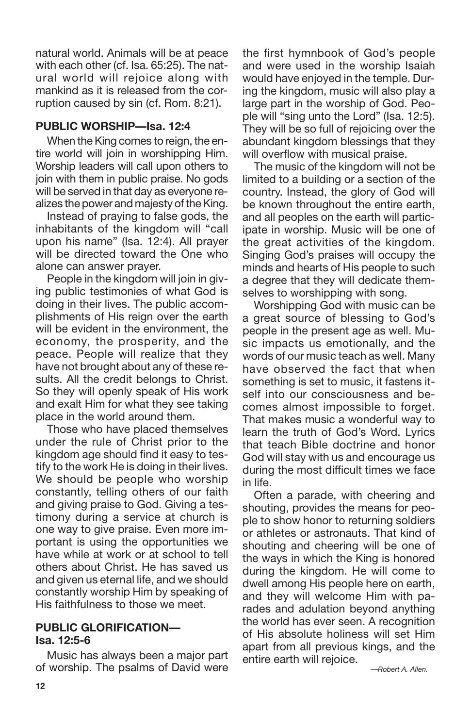natural world. Animals will be at peace with each other (cf. Isa. 65:25). The natural world will rejoice along with mankind as it is released from the corruption caused by sin (cf. Rom. 8:21).

### **PUBLIC WORSHIP—Isa. 12:4**

When the King comes to reign, the entire world will join in worshipping Him. Worship leaders will call upon others to join with them in public praise. No gods will be served in that day as everyone realizes the power and majesty of the King.

Instead of praying to false gods, the inhabitants of the kingdom will "call upon his name" (Isa. 12:4). All prayer will be directed toward the One who alone can answer prayer.

People in the kingdom will join in giving public testimonies of what God is doing in their lives. The public accomplishments of His reign over the earth will be evident in the environment, the economy, the prosperity, and the peace. People will realize that they have not brought about any of these results. All the credit belongs to Christ. So they will openly speak of His work and exalt Him for what they see taking place in the world around them.

Those who have placed themselves under the rule of Christ prior to the kingdom age should find it easy to testify to the work He is doing in their lives. We should be people who worship constantly, telling others of our faith and giving praise to God. Giving a testimony during a service at church is one way to give praise. Even more important is using the opportunities we have while at work or at school to tell others about Christ. He has saved us and given us eternal life, and we should constantly worship Him by speaking of His faithfulness to those we meet.

### **PUBLIC GLORIFICATION— Isa. 12:5-6**

Music has always been a major part of worship. The psalms of David were the first hymnbook of God's people and were used in the worship Isaiah would have enjoyed in the temple. During the kingdom, music will also play a large part in the worship of God. People will "sing unto the Lord" (Isa. 12:5). They will be so full of rejoicing over the abundant kingdom blessings that they will overflow with musical praise.

The music of the kingdom will not be limited to a building or a section of the country. Instead, the glory of God will be known throughout the entire earth, and all peoples on the earth will participate in worship. Music will be one of the great activities of the kingdom. Singing God's praises will occupy the minds and hearts of His people to such a degree that they will dedicate themselves to worshipping with song.

Worshipping God with music can be a great source of blessing to God's people in the present age as well. Music impacts us emotionally, and the words of our music teach as well. Many have observed the fact that when something is set to music, it fastens itself into our consciousness and becomes almost impossible to forget. That makes music a wonderful way to learn the truth of God's Word. Lyrics that teach Bible doctrine and honor God will stay with us and encourage us during the most difficult times we face in life.

Often a parade, with cheering and shouting, provides the means for people to show honor to returning soldiers or athletes or astronauts. That kind of shouting and cheering will be one of the ways in which the King is honored during the kingdom. He will come to dwell among His people here on earth, and they will welcome Him with parades and adulation beyond anything the world has ever seen. A recognition of His absolute holiness will set Him apart from all previous kings, and the entire earth will rejoice.

*—Robert A. Allen.*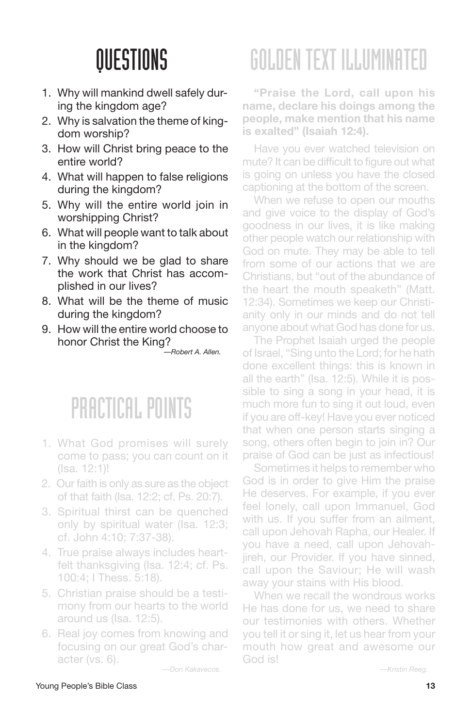- 1. Why will mankind dwell safely during the kingdom age?
- 2. Why is salvation the theme of kingdom worship?
- 3. How will Christ bring peace to the entire world?
- 4. What will happen to false religions during the kingdom?
- 5. Why will the entire world join in worshipping Christ?
- 6. What will people want to talk about in the kingdom?
- 7. Why should we be glad to share the work that Christ has accomplished in our lives?
- 8. What will be the theme of music during the kingdom?
- 9. How will the entire world choose to honor Christ the King?

*—Robert A. Allen.*

### PRACTICAL POINTS

- 1. What God promises will surely come to pass; you can count on it (Isa. 12:1)!
- 2. Our faith is only as sure as the object of that faith (Isa. 12:2; cf. Ps. 20:7).
- 3. Spiritual thirst can be quenched only by spiritual water (Isa. 12:3; cf. John 4:10; 7:37-38).
- 4. True praise always includes heartfelt thanksgiving (Isa. 12:4; cf. Ps. 100:4; I Thess. 5:18).
- 5. Christian praise should be a testimony from our hearts to the world around us (Isa. 12:5).
- 6. Real joy comes from knowing and focusing on our great God's character (vs. 6).

*—Don Kakavecos.*

# GOLDENTEXT ILLUMINATED

**"Praise the Lord, call upon his name, declare his doings among the people, make mention that his name is exalted" (Isaiah 12:4).**

Have you ever watched television on mute? It can be difficult to figure out what is going on unless you have the closed captioning at the bottom of the screen.

When we refuse to open our mouths and give voice to the display of God's goodness in our lives, it is like making other people watch our relationship with God on mute. They may be able to tell from some of our actions that we are Christians, but "out of the abundance of the heart the mouth speaketh" (Matt. 12:34). Sometimes we keep our Christianity only in our minds and do not tell anyone about what God has done for us.

The Prophet Isaiah urged the people of Israel, "Sing unto the Lord; for he hath done excellent things: this is known in all the earth" (Isa. 12:5). While it is possible to sing a song in your head, it is much more fun to sing it out loud, even if you are off-key! Have you ever noticed that when one person starts singing a song, others often begin to join in? Our praise of God can be just as infectious!

Sometimes it helps to remember who God is in order to give Him the praise He deserves. For example, if you ever feel lonely, call upon Immanuel, God with us. If you suffer from an ailment, call upon Jehovah Rapha, our Healer. If you have a need, call upon Jehovahjireh, our Provider. If you have sinned, call upon the Saviour; He will wash away your stains with His blood.

When we recall the wondrous works He has done for us, we need to share our testimonies with others. Whether you tell it or sing it, let us hear from your mouth how great and awesome our God is!

*—Kristin Reeg.*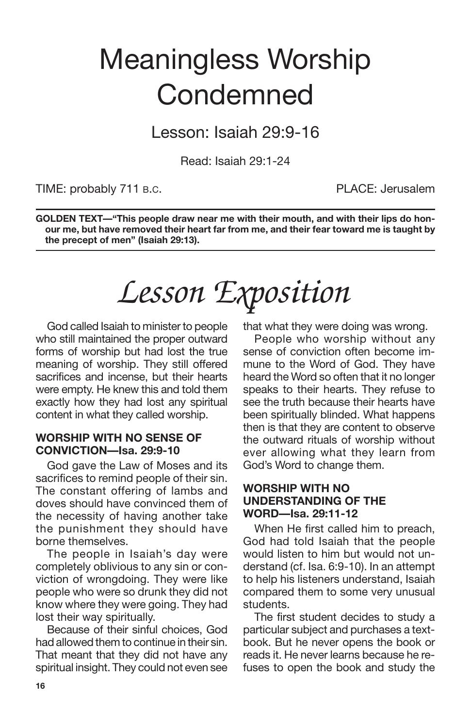## Meaningless Worship **Condemned**

Lesson: Isaiah 29:9-16

Read: Isaiah 29:1-24

TIME: probably 711 B.C. The Contract of the PLACE: Jerusalem

**GOLDEN TEXT—"This people draw near me with their mouth, and with their lips do honour me, but have removed their heart far from me, and their fear toward me is taught by the precept of men" (Isaiah 29:13).**

## *Lesson Exposition*

God called Isaiah to minister to people who still maintained the proper outward forms of worship but had lost the true meaning of worship. They still offered sacrifices and incense, but their hearts were empty. He knew this and told them exactly how they had lost any spiritual content in what they called worship.

### **WORSHIP WITH NO SENSE OF CONVICTION—Isa. 29:9-10**

God gave the Law of Moses and its sacrifices to remind people of their sin. The constant offering of lambs and doves should have convinced them of the necessity of having another take the punishment they should have borne themselves.

The people in Isaiah's day were completely oblivious to any sin or conviction of wrongdoing. They were like people who were so drunk they did not know where they were going. They had lost their way spiritually.

Because of their sinful choices, God had allowed them to continue in their sin. That meant that they did not have any spiritual insight. They could not even see that what they were doing was wrong.

People who worship without any sense of conviction often become immune to the Word of God. They have heard the Word so often that it no longer speaks to their hearts. They refuse to see the truth because their hearts have been spiritually blinded. What happens then is that they are content to observe the outward rituals of worship without ever allowing what they learn from God's Word to change them.

### **WORSHIP WITH NO UNDERSTANDING OF THE WORD—Isa. 29:11-12**

When He first called him to preach, God had told Isaiah that the people would listen to him but would not understand (cf. Isa. 6:9-10). In an attempt to help his listeners understand, Isaiah compared them to some very unusual students.

The first student decides to study a particular subject and purchases a textbook. But he never opens the book or reads it. He never learns because he refuses to open the book and study the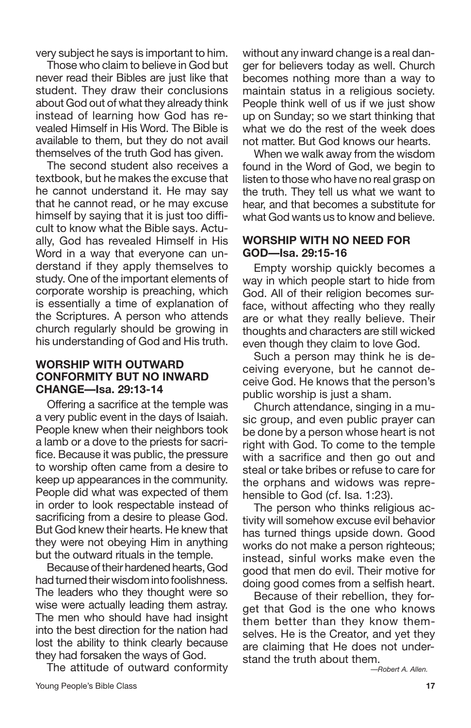very subject he says is important to him.

Those who claim to believe in God but never read their Bibles are just like that student. They draw their conclusions about God out of what they already think instead of learning how God has revealed Himself in His Word. The Bible is available to them, but they do not avail themselves of the truth God has given.

The second student also receives a textbook, but he makes the excuse that he cannot understand it. He may say that he cannot read, or he may excuse himself by saying that it is just too difficult to know what the Bible says. Actually, God has revealed Himself in His Word in a way that everyone can understand if they apply themselves to study. One of the important elements of corporate worship is preaching, which is essentially a time of explanation of the Scriptures. A person who attends church regularly should be growing in his understanding of God and His truth.

#### **WORSHIP WITH OUTWARD CONFORMITY BUT NO INWARD CHANGE—Isa. 29:13-14**

Offering a sacrifice at the temple was a very public event in the days of Isaiah. People knew when their neighbors took a lamb or a dove to the priests for sacrifice. Because it was public, the pressure to worship often came from a desire to keep up appearances in the community. People did what was expected of them in order to look respectable instead of sacrificing from a desire to please God. But God knew their hearts. He knew that they were not obeying Him in anything but the outward rituals in the temple.

Because of their hardened hearts, God had turned their wisdom into foolishness. The leaders who they thought were so wise were actually leading them astray. The men who should have had insight into the best direction for the nation had lost the ability to think clearly because they had forsaken the ways of God.

The attitude of outward conformity

without any inward change is a real danger for believers today as well. Church becomes nothing more than a way to maintain status in a religious society. People think well of us if we just show up on Sunday; so we start thinking that what we do the rest of the week does not matter. But God knows our hearts.

When we walk away from the wisdom found in the Word of God, we begin to listen to those who have no real grasp on the truth. They tell us what we want to hear, and that becomes a substitute for what God wants us to know and believe.

#### **WORSHIP WITH NO NEED FOR GOD—Isa. 29:15-16**

Empty worship quickly becomes a way in which people start to hide from God. All of their religion becomes surface, without affecting who they really are or what they really believe. Their thoughts and characters are still wicked even though they claim to love God.

Such a person may think he is deceiving everyone, but he cannot deceive God. He knows that the person's public worship is just a sham.

Church attendance, singing in a music group, and even public prayer can be done by a person whose heart is not right with God. To come to the temple with a sacrifice and then go out and steal or take bribes or refuse to care for the orphans and widows was reprehensible to God (cf. Isa. 1:23).

The person who thinks religious activity will somehow excuse evil behavior has turned things upside down. Good works do not make a person righteous; instead, sinful works make even the good that men do evil. Their motive for doing good comes from a selfish heart.

Because of their rebellion, they forget that God is the one who knows them better than they know themselves. He is the Creator, and yet they are claiming that He does not understand the truth about them.

*—Robert A. Allen.*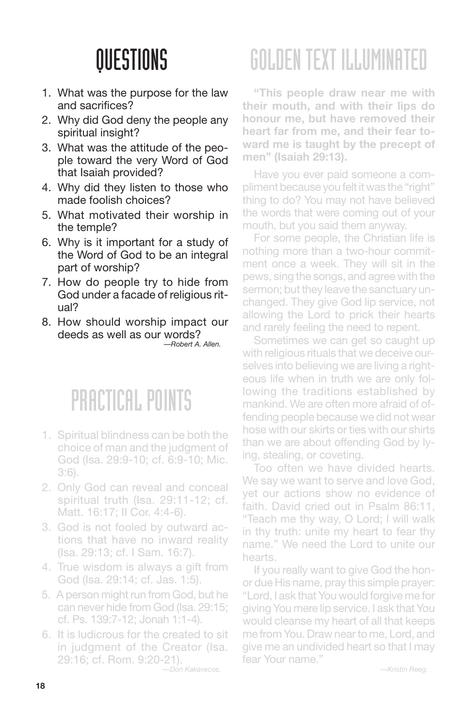- 1. What was the purpose for the law and sacrifices?
- 2. Why did God deny the people any spiritual insight?
- 3. What was the attitude of the people toward the very Word of God that Isaiah provided?
- 4. Why did they listen to those who made foolish choices?
- 5. What motivated their worship in the temple?
- 6. Why is it important for a study of the Word of God to be an integral part of worship?
- 7. How do people try to hide from God under a facade of religious ritual?
- 8. How should worship impact our deeds as well as our words? *—Robert A. Allen.*

### PRACTICAL POINTS

- 1. Spiritual blindness can be both the choice of man and the judgment of God (Isa. 29:9-10; cf. 6:9-10; Mic. 3:6).
- 2. Only God can reveal and conceal spiritual truth (Isa. 29:11-12; cf. Matt. 16:17; II Cor. 4:4-6).
- 3. God is not fooled by outward actions that have no inward reality (Isa. 29:13; cf. I Sam. 16:7).
- 4. True wisdom is always a gift from God (Isa. 29:14; cf. Jas. 1:5).
- 5. A person might run from God, but he can never hide from God (Isa. 29:15; cf. Ps. 139:7-12; Jonah 1:1-4).
- 6. It is ludicrous for the created to sit in judgment of the Creator (Isa. 29:16; cf. Rom. 9:20-21).

*—Don Kakavecos.*

# GOLDENTEXT ILLUMINATED

**"This people draw near me with their mouth, and with their lips do honour me, but have removed their heart far from me, and their fear toward me is taught by the precept of men" (Isaiah 29:13).**

Have you ever paid someone a compliment because you felt it was the "right" thing to do? You may not have believed the words that were coming out of your mouth, but you said them anyway.

For some people, the Christian life is nothing more than a two-hour commitment once a week. They will sit in the pews, sing the songs, and agree with the sermon; but they leave the sanctuary unchanged. They give God lip service, not allowing the Lord to prick their hearts and rarely feeling the need to repent.

Sometimes we can get so caught up with religious rituals that we deceive ourselves into believing we are living a righteous life when in truth we are only following the traditions established by mankind. We are often more afraid of offending people because we did not wear hose with our skirts or ties with our shirts than we are about offending God by lying, stealing, or coveting.

Too often we have divided hearts. We say we want to serve and love God, yet our actions show no evidence of faith. David cried out in Psalm 86:11, "Teach me thy way, O Lord; I will walk in thy truth: unite my heart to fear thy name." We need the Lord to unite our hearts.

If you really want to give God the honor due His name, pray this simple prayer: "Lord, I ask that You would forgive me for giving You mere lip service. I ask that You would cleanse my heart of all that keeps me from You. Drawnearto me, Lord, and give me an undivided heart so that I may fear Your name."

*—Kristin Reeg.*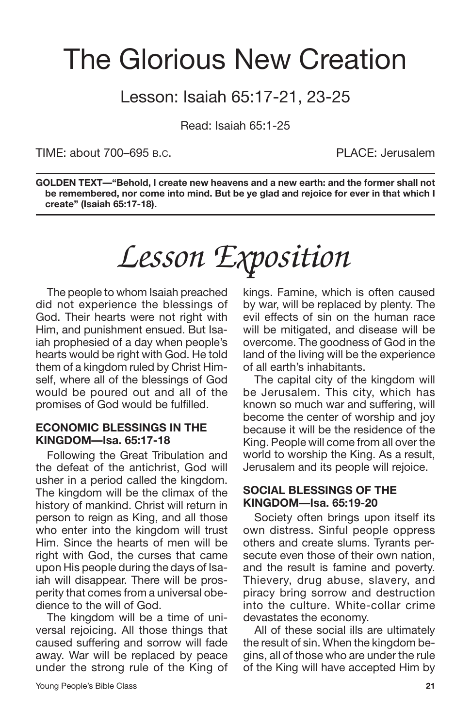## The Glorious New Creation

### Lesson: Isaiah 65:17-21, 23-25

Read: Isaiah 65:1-25

TIME: about 700–695 B.C. PLACE: Jerusalem

**GOLDEN TEXT—"Behold, I create new heavens and a new earth: and the former shall not be remembered, nor come into mind. But be ye glad and rejoice for ever in that which I create" (Isaiah 65:17-18).**

# *Lesson Exposition*

The people to whom Isaiah preached did not experience the blessings of God. Their hearts were not right with Him, and punishment ensued. But Isaiah prophesied of a day when people's hearts would be right with God. He told them of a kingdom ruled by Christ Himself, where all of the blessings of God would be poured out and all of the promises of God would be fulfilled.

#### **ECONOMIC BLESSINGS IN THE KINGDOM—Isa. 65:17-18**

Following the Great Tribulation and the defeat of the antichrist, God will usher in a period called the kingdom. The kingdom will be the climax of the history of mankind. Christ will return in person to reign as King, and all those who enter into the kingdom will trust Him. Since the hearts of men will be right with God, the curses that came upon His people during the days of Isaiah will disappear. There will be prosperity that comes from a universal obedience to the will of God.

The kingdom will be a time of universal rejoicing. All those things that caused suffering and sorrow will fade away. War will be replaced by peace under the strong rule of the King of kings. Famine, which is often caused by war, will be replaced by plenty. The evil effects of sin on the human race will be mitigated, and disease will be overcome. The goodness of God in the land of the living will be the experience of all earth's inhabitants.

The capital city of the kingdom will be Jerusalem. This city, which has known so much war and suffering, will become the center of worship and joy because it will be the residence of the King. People will come from all over the world to worship the King. As a result, Jerusalem and its people will rejoice.

#### **SOCIAL BLESSINGS OF THE KINGDOM—Isa. 65:19-20**

Society often brings upon itself its own distress. Sinful people oppress others and create slums. Tyrants persecute even those of their own nation, and the result is famine and poverty. Thievery, drug abuse, slavery, and piracy bring sorrow and destruction into the culture. White-collar crime devastates the economy.

All of these social ills are ultimately the result of sin. When the kingdom begins, all of those who are under the rule of the King will have accepted Him by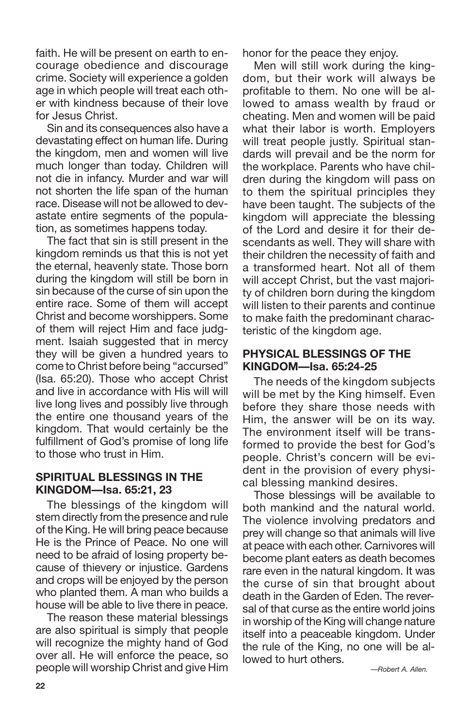faith. He will be present on earth to encourage obedience and discourage crime. Society will experience a golden age in which people will treat each other with kindness because of their love for Jesus Christ.

Sin and its consequences also have a devastating effect on human life. During the kingdom, men and women will live much longer than today. Children will not die in infancy. Murder and war will not shorten the life span of the human race. Disease will not be allowed to devastate entire segments of the population, as sometimes happens today.

The fact that sin is still present in the kingdom reminds us that this is not yet the eternal, heavenly state. Those born during the kingdom will still be born in sin because of the curse of sin upon the entire race. Some of them will accept Christ and become worshippers. Some of them will reject Him and face judgment. Isaiah suggested that in mercy they will be given a hundred years to come to Christ before being "accursed" (Isa. 65:20). Those who accept Christ and live in accordance with His will will live long lives and possibly live through the entire one thousand years of the kingdom. That would certainly be the fulfillment of God's promise of long life to those who trust in Him.

### **SPIRITUAL BLESSINGS IN THE KINGDOM—Isa. 65:21, 23**

The blessings of the kingdom will stem directly from the presence and rule of the King. He will bring peace because He is the Prince of Peace. No one will need to be afraid of losing property because of thievery or injustice. Gardens and crops will be enjoyed by the person who planted them. A man who builds a house will be able to live there in peace.

The reason these material blessings are also spiritual is simply that people will recognize the mighty hand of God over all. He will enforce the peace, so people will worship Christ and give Him honor for the peace they enjoy.

Men will still work during the kingdom, but their work will always be profitable to them. No one will be allowed to amass wealth by fraud or cheating. Men and women will be paid what their labor is worth. Employers will treat people justly. Spiritual standards will prevail and be the norm for the workplace. Parents who have children during the kingdom will pass on to them the spiritual principles they have been taught. The subjects of the kingdom will appreciate the blessing of the Lord and desire it for their descendants as well. They will share with their children the necessity of faith and a transformed heart. Not all of them will accept Christ, but the vast majority of children born during the kingdom will listen to their parents and continue to make faith the predominant characteristic of the kingdom age.

### **PHYSICAL BLESSINGS OF THE KINGDOM—Isa. 65:24-25**

The needs of the kingdom subjects will be met by the King himself. Even before they share those needs with Him, the answer will be on its way. The environment itself will be transformed to provide the best for God's people. Christ's concern will be evident in the provision of every physical blessing mankind desires.

Those blessings will be available to both mankind and the natural world. The violence involving predators and prey will change so that animals will live at peace with each other. Carnivores will become plant eaters as death becomes rare even in the natural kingdom. It was the curse of sin that brought about death in the Garden of Eden. The reversal of that curse as the entire world joins in worship of the King will change nature itself into a peaceable kingdom. Under the rule of the King, no one will be allowed to hurt others.

*—Robert A. Allen.*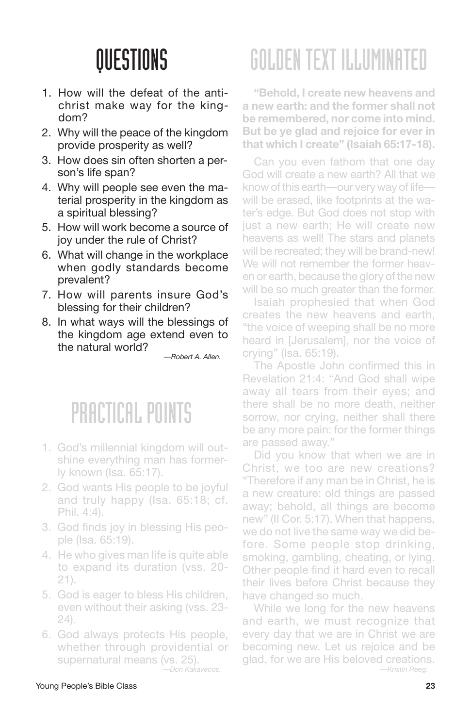- 1. How will the defeat of the antichrist make way for the kingdom?
- 2. Why will the peace of the kingdom provide prosperity as well?
- 3. How does sin often shorten a person's life span?
- 4. Why will people see even the material prosperity in the kingdom as a spiritual blessing?
- 5. How will work become a source of joy under the rule of Christ?
- 6. What will change in the workplace when godly standards become prevalent?
- 7. How will parents insure God's blessing for their children?
- 8. In what ways will the blessings of the kingdom age extend even to the natural world?

*—Robert A. Allen.*

### PRACTICAL POINTS

- 1. God's millennial kingdom will outshine everything man has formerly known (Isa. 65:17).
- 2. God wants His people to be joyful and truly happy (Isa. 65:18; cf. Phil. 4:4).
- 3. God finds joy in blessing His people (Isa. 65:19).
- 4. He who gives man life is quite able to expand its duration (vss. 20- 21).
- 5. God is eager to bless His children, even without their asking (vss. 23- 24).
- 6. God always protects His people, whether through providential or supernatural means (vs. 25).

*—Don Kakavecos.*

# GOLDENTEXT ILLUMINATED

**"Behold, I create new heavens and a new earth: and the former shall not be remembered, nor come into mind. But be ye glad and rejoice for ever in that which I create" (Isaiah 65:17-18).**

Can you even fathom that one day God will create a new earth? All that we know of this earth—our very way of life will be erased, like footprints at the water's edge. But God does not stop with just a new earth; He will create new heavens as well! The stars and planets will be recreated; they will be brand-new! We will not remember the former heaven or earth, because the glory of the new will be so much greater than the former.

Isaiah prophesied that when God creates the new heavens and earth, "the voice of weeping shall be no more heard in [Jerusalem], nor the voice of crying" (Isa. 65:19).

The Apostle John confirmed this in Revelation 21:4: "And God shall wipe away all tears from their eyes; and there shall be no more death, neither sorrow, nor crying, neither shall there be any more pain: for the former things are passed away."

Did you know that when we are in Christ, we too are new creations? "Therefore if any man be in Christ, he is a new creature: old things are passed away; behold, all things are become new" (II Cor. 5:17). When that happens, we do not live the same way we did before. Some people stop drinking, smoking, gambling, cheating, or lying. Other people find it hard even to recall their lives before Christ because they have changed so much.

While we long for the new heavens and earth, we must recognize that every day that we are in Christ we are becoming new. Let us rejoice and be glad, for we are His beloved creations. *—Kristin Reeg.*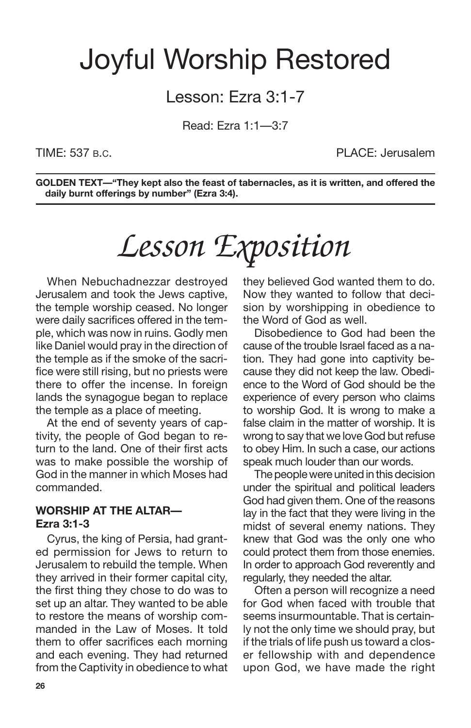## Joyful Worship Restored

### Lesson: Ezra 3:1-7

Read: Ezra 1:1—3:7

TIME: 537 B.C. PLACE: Jerusalem

**GOLDEN TEXT—"They kept also the feast of tabernacles, as it is written, and offered the daily burnt offerings by number" (Ezra 3:4).**

# *Lesson Exposition*

When Nebuchadnezzar destroyed Jerusalem and took the Jews captive, the temple worship ceased. No longer were daily sacrifices offered in the temple, which was now in ruins. Godly men like Daniel would pray in the direction of the temple as if the smoke of the sacrifice were still rising, but no priests were there to offer the incense. In foreign lands the synagogue began to replace the temple as a place of meeting.

At the end of seventy years of captivity, the people of God began to return to the land. One of their first acts was to make possible the worship of God in the manner in which Moses had commanded.

### **WORSHIP AT THE ALTAR— Ezra 3:1-3**

Cyrus, the king of Persia, had granted permission for Jews to return to Jerusalem to rebuild the temple. When they arrived in their former capital city, the first thing they chose to do was to set up an altar. They wanted to be able to restore the means of worship commanded in the Law of Moses. It told them to offer sacrifices each morning and each evening. They had returned from the Captivity in obedience to what they believed God wanted them to do. Now they wanted to follow that decision by worshipping in obedience to the Word of God as well.

Disobedience to God had been the cause of the trouble Israel faced as a nation. They had gone into captivity because they did not keep the law. Obedience to the Word of God should be the experience of every person who claims to worship God. It is wrong to make a false claim in the matter of worship. It is wrong to say that we love God but refuse to obey Him. In such a case, our actions speak much louder than our words.

The people were united in this decision under the spiritual and political leaders God had given them. One of the reasons lay in the fact that they were living in the midst of several enemy nations. They knew that God was the only one who could protect them from those enemies. In order to approach God reverently and regularly, they needed the altar.

Often a person will recognize a need for God when faced with trouble that seems insurmountable. That is certainly not the only time we should pray, but if the trials of life push us toward a closer fellowship with and dependence upon God, we have made the right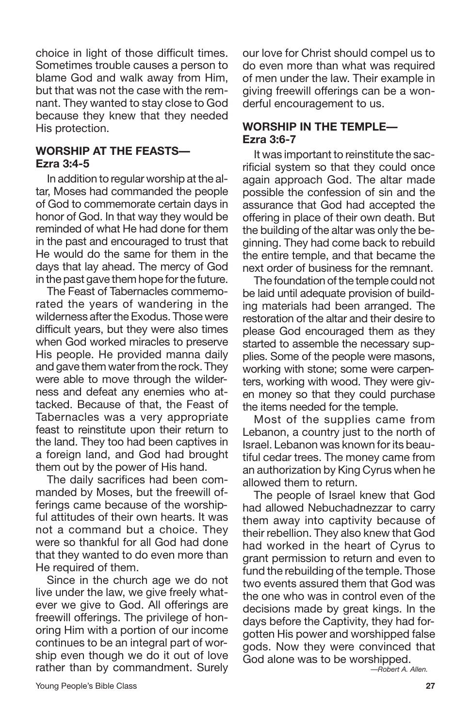choice in light of those difficult times. Sometimes trouble causes a person to blame God and walk away from Him, but that was not the case with the remnant. They wanted to stay close to God because they knew that they needed His protection.

### **WORSHIP AT THE FEASTS— Ezra 3:4-5**

In addition to regular worship at the altar, Moses had commanded the people of God to commemorate certain days in honor of God. In that way they would be reminded of what He had done for them in the past and encouraged to trust that He would do the same for them in the days that lay ahead. The mercy of God in the past gave them hope for the future.

The Feast of Tabernacles commemorated the years of wandering in the wilderness after the Exodus. Those were difficult years, but they were also times when God worked miracles to preserve His people. He provided manna daily and gave them water from the rock. They were able to move through the wilderness and defeat any enemies who attacked. Because of that, the Feast of Tabernacles was a very appropriate feast to reinstitute upon their return to the land. They too had been captives in a foreign land, and God had brought them out by the power of His hand.

The daily sacrifices had been commanded by Moses, but the freewill offerings came because of the worshipful attitudes of their own hearts. It was not a command but a choice. They were so thankful for all God had done that they wanted to do even more than He required of them.

Since in the church age we do not live under the law, we give freely whatever we give to God. All offerings are freewill offerings. The privilege of honoring Him with a portion of our income continues to be an integral part of worship even though we do it out of love rather than by commandment. Surely our love for Christ should compel us to do even more than what was required of men under the law. Their example in giving freewill offerings can be a wonderful encouragement to us.

### **WORSHIP IN THE TEMPLE— Ezra 3:6-7**

It was important to reinstitute the sacrificial system so that they could once again approach God. The altar made possible the confession of sin and the assurance that God had accepted the offering in place of their own death. But the building of the altar was only the beginning. They had come back to rebuild the entire temple, and that became the next order of business for the remnant.

The foundation of the temple could not be laid until adequate provision of building materials had been arranged. The restoration of the altar and their desire to please God encouraged them as they started to assemble the necessary supplies. Some of the people were masons, working with stone; some were carpenters, working with wood. They were given money so that they could purchase the items needed for the temple.

Most of the supplies came from Lebanon, a country just to the north of Israel. Lebanon was known for its beautiful cedar trees. The money came from an authorization by King Cyrus when he allowed them to return.

The people of Israel knew that God had allowed Nebuchadnezzar to carry them away into captivity because of their rebellion. They also knew that God had worked in the heart of Cyrus to grant permission to return and even to fund the rebuilding of the temple. Those two events assured them that God was the one who was in control even of the decisions made by great kings. In the days before the Captivity, they had forgotten His power and worshipped false gods. Now they were convinced that God alone was to be worshipped.

*—Robert A. Allen.*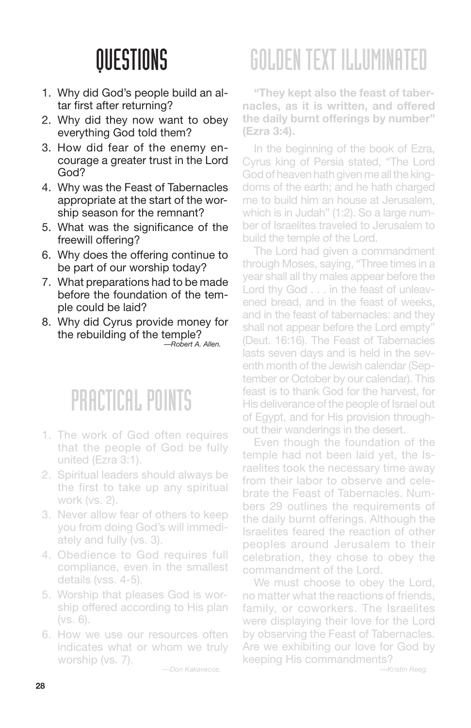- 1. Why did God's people build an altar first after returning?
- 2. Why did they now want to obey everything God told them?
- 3. How did fear of the enemy encourage a greater trust in the Lord God?
- 4. Why was the Feast of Tabernacles appropriate at the start of the worship season for the remnant?
- 5. What was the significance of the freewill offering?
- 6. Why does the offering continue to be part of our worship today?
- 7. What preparations had to be made before the foundation of the temple could be laid?
- 8. Why did Cyrus provide money for the rebuilding of the temple? *—Robert A. Allen.*

### PRACTICAL POINTS

- 1. The work of God often requires that the people of God be fully united (Ezra 3:1).
- 2. Spiritual leaders should always be the first to take up any spiritual work (vs. 2).
- 3. Never allow fear of others to keep you from doing God's will immediately and fully (vs. 3).
- 4. Obedience to God requires full compliance, even in the smallest details (vss. 4-5).
- 5. Worship that pleases God is worship offered according to His plan (vs. 6).
- 6. How we use our resources often indicates what or whom we truly worship (vs. 7).

*—Don Kakavecos.*

# GOLDENTEXT ILLUMINATED

**"They kept also the feast of tabernacles, as it is written, and offered the daily burnt offerings by number" (Ezra 3:4).**

In the beginning of the book of Ezra, Cyrus king of Persia stated, "The Lord God of heaven hath given me all the kingdoms of the earth; and he hath charged me to build him an house at Jerusalem, which is in Judah" (1:2). So a large number of Israelites traveled to Jerusalem to build the temple of the Lord.

The Lord had given a commandment through Moses, saying, "Three times in a year shall all thy males appear before the Lord thy God . . . in the feast of unleavened bread, and in the feast of weeks, and in the feast of tabernacles: and they shall not appear before the Lord empty" (Deut. 16:16). The Feast of Tabernacles lasts seven days and is held in the seventh month of the Jewish calendar (September or October by our calendar). This feast is to thank God for the harvest, for His deliverance of the people of Israel out of Egypt, and for His provision throughout their wanderings in the desert.

Even though the foundation of the temple had not been laid yet, the Israelites took the necessary time away from their labor to observe and celebrate the Feast of Tabernacles. Numbers 29 outlines the requirements of the daily burnt offerings. Although the Israelites feared the reaction of other peoples around Jerusalem to their celebration, they chose to obey the commandment of the Lord.

We must choose to obey the Lord, no matter what the reactions of friends, family, or coworkers. The Israelites were displaying their love for the Lord by observing the Feast of Tabernacles. Are we exhibiting our love for God by keeping His commandments?

*—Kristin Reeg.*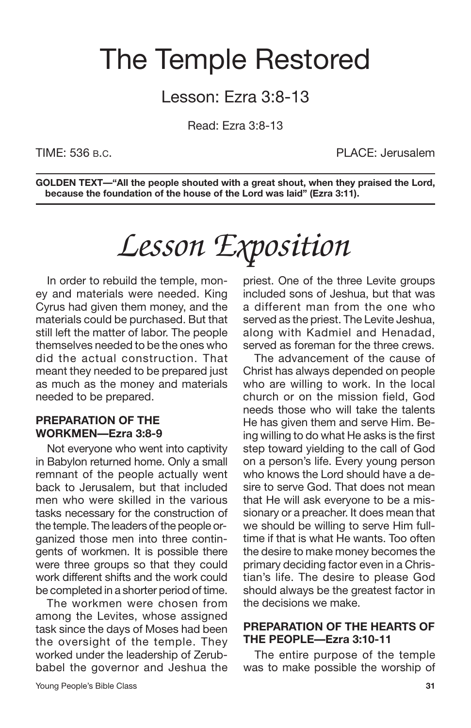## The Temple Restored

### Lesson: Ezra 3:8-13

Read: Ezra 3:8-13

TIME: 536 B.C. PLACE: Jerusalem

**GOLDEN TEXT—"All the people shouted with a great shout, when they praised the Lord, because the foundation of the house of the Lord was laid" (Ezra 3:11).**

# *Lesson Exposition*

In order to rebuild the temple, money and materials were needed. King Cyrus had given them money, and the materials could be purchased. But that still left the matter of labor. The people themselves needed to be the ones who did the actual construction. That meant they needed to be prepared just as much as the money and materials needed to be prepared.

### **PREPARATION OF THE WORKMEN—Ezra 3:8-9**

Not everyone who went into captivity in Babylon returned home. Only a small remnant of the people actually went back to Jerusalem, but that included men who were skilled in the various tasks necessary for the construction of the temple. The leaders of the people organized those men into three contingents of workmen. It is possible there were three groups so that they could work different shifts and the work could be completed in a shorter period of time.

The workmen were chosen from among the Levites, whose assigned task since the days of Moses had been the oversight of the temple. They worked under the leadership of Zerubbabel the governor and Jeshua the priest. One of the three Levite groups included sons of Jeshua, but that was a different man from the one who served as the priest. The Levite Jeshua, along with Kadmiel and Henadad, served as foreman for the three crews.

The advancement of the cause of Christ has always depended on people who are willing to work. In the local church or on the mission field, God needs those who will take the talents He has given them and serve Him. Being willing to do what He asks is the first step toward yielding to the call of God on a person's life. Every young person who knows the Lord should have a desire to serve God. That does not mean that He will ask everyone to be a missionary or a preacher. It does mean that we should be willing to serve Him fulltime if that is what He wants. Too often the desire to make money becomes the primary deciding factor even in a Christian's life. The desire to please God should always be the greatest factor in the decisions we make.

### **PREPARATION OF THE HEARTS OF THE PEOPLE—Ezra 3:10-11**

The entire purpose of the temple was to make possible the worship of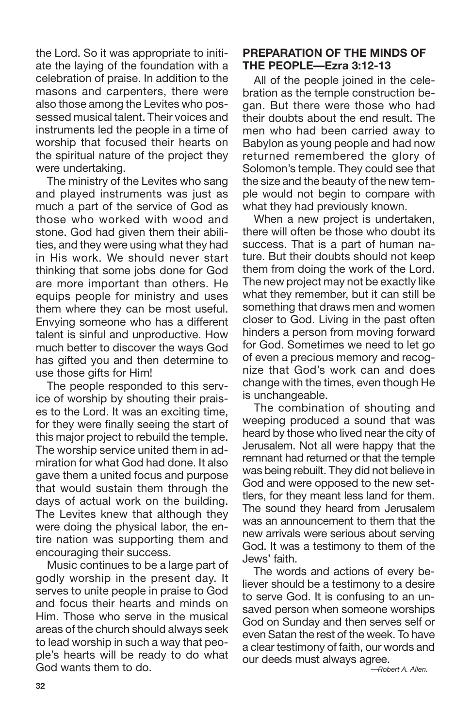the Lord. So it was appropriate to initiate the laying of the foundation with a celebration of praise. In addition to the masons and carpenters, there were also those among the Levites who possessed musical talent. Their voices and instruments led the people in a time of worship that focused their hearts on the spiritual nature of the project they were undertaking.

The ministry of the Levites who sang and played instruments was just as much a part of the service of God as those who worked with wood and stone. God had given them their abilities, and they were using what they had in His work. We should never start thinking that some jobs done for God are more important than others. He equips people for ministry and uses them where they can be most useful. Envying someone who has a different talent is sinful and unproductive. How much better to discover the ways God has gifted you and then determine to use those gifts for Him!

The people responded to this service of worship by shouting their praises to the Lord. It was an exciting time, for they were finally seeing the start of this major project to rebuild the temple. The worship service united them in admiration for what God had done. It also gave them a united focus and purpose that would sustain them through the days of actual work on the building. The Levites knew that although they were doing the physical labor, the entire nation was supporting them and encouraging their success.

Music continues to be a large part of godly worship in the present day. It serves to unite people in praise to God and focus their hearts and minds on Him. Those who serve in the musical areas of the church should always seek to lead worship in such a way that people's hearts will be ready to do what God wants them to do.

### **PREPARATION OF THE MINDS OF THE PEOPLE—Ezra 3:12-13**

All of the people joined in the celebration as the temple construction began. But there were those who had their doubts about the end result. The men who had been carried away to Babylon as young people and had now returned remembered the glory of Solomon's temple. They could see that the size and the beauty of the new temple would not begin to compare with what they had previously known.

When a new project is undertaken, there will often be those who doubt its success. That is a part of human nature. But their doubts should not keep them from doing the work of the Lord. The new project may not be exactly like what they remember, but it can still be something that draws men and women closer to God. Living in the past often hinders a person from moving forward for God. Sometimes we need to let go of even a precious memory and recognize that God's work can and does change with the times, even though He is unchangeable.

The combination of shouting and weeping produced a sound that was heard by those who lived near the city of Jerusalem. Not all were happy that the remnant had returned or that the temple was being rebuilt. They did not believe in God and were opposed to the new settlers, for they meant less land for them. The sound they heard from Jerusalem was an announcement to them that the new arrivals were serious about serving God. It was a testimony to them of the Jews' faith.

The words and actions of every believer should be a testimony to a desire to serve God. It is confusing to an unsaved person when someone worships God on Sunday and then serves self or even Satan the rest of the week. To have a clear testimony of faith, our words and our deeds must always agree.

*—Robert A. Allen.*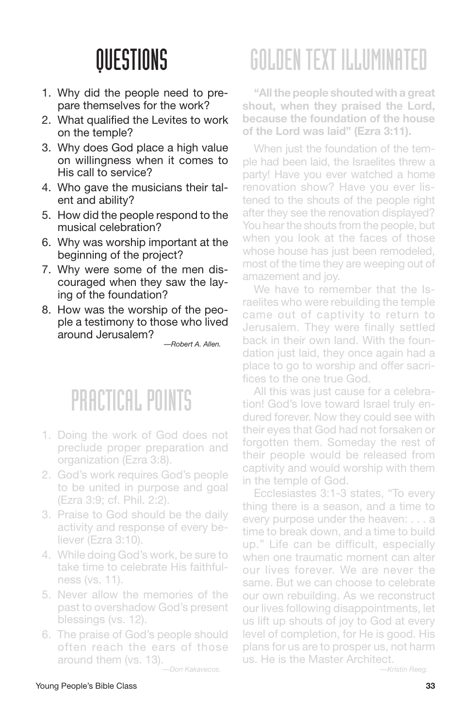- 1. Why did the people need to prepare themselves for the work?
- 2. What qualified the Levites to work on the temple?
- 3. Why does God place a high value on willingness when it comes to His call to service?
- 4. Who gave the musicians their talent and ability?
- 5. How did the people respond to the musical celebration?
- 6. Why was worship important at the beginning of the project?
- 7. Why were some of the men discouraged when they saw the laying of the foundation?
- 8. How was the worship of the people a testimony to those who lived around Jerusalem?

*—Robert A. Allen.*

### PRACTICAL POINTS

- 1. Doing the work of God does not preclude proper preparation and organization (Ezra 3:8).
- 2. God's work requires God's people to be united in purpose and goal (Ezra 3:9; cf. Phil. 2:2).
- 3. Praise to God should be the daily activity and response of every believer (Ezra 3:10).
- 4. While doing God's work, be sure to take time to celebrate His faithfulness (vs. 11).
- 5. Never allow the memories of the past to overshadow God's present blessings (vs. 12).
- 6. The praise of God's people should often reach the ears of those around them (vs. 13).

*—Don Kakavecos.*

# GOLDENTEXT ILLUMINATED

**"Allthe people shouted with a great shout, when they praised the Lord, because the foundation of the house of the Lord was laid" (Ezra 3:11).**

When just the foundation of the temple had been laid, the Israelites threw a party! Have you ever watched a home renovation show? Have you ever listened to the shouts of the people right after they see the renovation displayed? You hear the shouts from the people, but when you look at the faces of those whose house has just been remodeled, most of the time they are weeping out of amazement and joy.

We have to remember that the Israelites who were rebuilding the temple came out of captivity to return to Jerusalem. They were finally settled back in their own land. With the foundation just laid, they once again had a place to go to worship and offer sacrifices to the one true God.

All this was just cause for a celebration! God's love toward Israel truly endured forever. Now they could see with their eyes that God had not forsaken or forgotten them. Someday the rest of their people would be released from captivity and would worship with them in the temple of God.

Ecclesiastes 3:1-3 states, "To every thing there is a season, and a time to every purpose under the heaven: . . . a time to break down, and a time to build up." Life can be difficult, especially when one traumatic moment can alter our lives forever. We are never the same. But we can choose to celebrate our own rebuilding. As we reconstruct our lives following disappointments, let us lift up shouts of joy to God at every level of completion, for He is good. His plans for us are to prosper us, not harm us. He is the Master Architect.

*—Kristin Reeg.*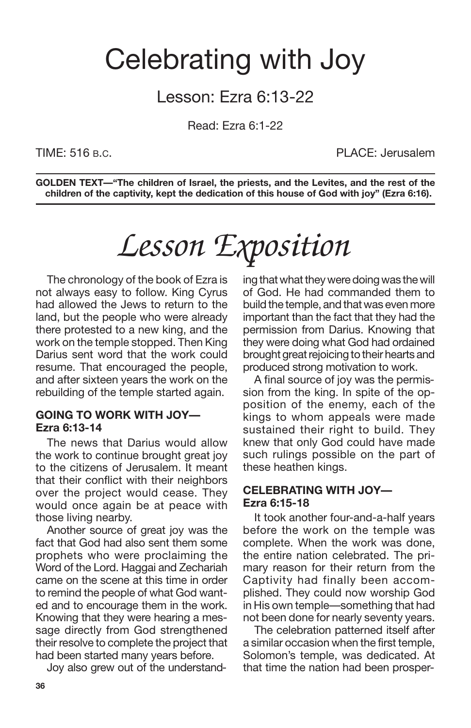## Celebrating with Joy

### Lesson: Ezra 6:13-22

Read: Ezra 6:1-22

TIME: 516 B.C. PLACE: Jerusalem

**GOLDEN TEXT—"The children of Israel, the priests, and the Levites, and the rest of the children of the captivity, kept the dedication of this house of God with joy" (Ezra 6:16).**

## *Lesson Exposition*

The chronology of the book of Ezra is not always easy to follow. King Cyrus had allowed the Jews to return to the land, but the people who were already there protested to a new king, and the work on the temple stopped. Then King Darius sent word that the work could resume. That encouraged the people, and after sixteen years the work on the rebuilding of the temple started again.

#### **GOING TO WORK WITH JOY— Ezra 6:13-14**

The news that Darius would allow the work to continue brought great joy to the citizens of Jerusalem. It meant that their conflict with their neighbors over the project would cease. They would once again be at peace with those living nearby.

Another source of great joy was the fact that God had also sent them some prophets who were proclaiming the Word of the Lord. Haggai and Zechariah came on the scene at this time in order to remind the people of what God wanted and to encourage them in the work. Knowing that they were hearing a message directly from God strengthened their resolve to complete the project that had been started many years before.

Joy also grew out of the understand-

ing that what they were doing was the will of God. He had commanded them to build the temple, and that was even more important than the fact that they had the permission from Darius. Knowing that they were doing what God had ordained brought great rejoicing to their hearts and produced strong motivation to work.

A final source of joy was the permission from the king. In spite of the opposition of the enemy, each of the kings to whom appeals were made sustained their right to build. They knew that only God could have made such rulings possible on the part of these heathen kings.

#### **CELEBRATING WITH JOY— Ezra 6:15-18**

It took another four-and-a-half years before the work on the temple was complete. When the work was done, the entire nation celebrated. The primary reason for their return from the Captivity had finally been accomplished. They could now worship God in His own temple—something that had not been done for nearly seventy years.

The celebration patterned itself after a similar occasion when the first temple, Solomon's temple, was dedicated. At that time the nation had been prosper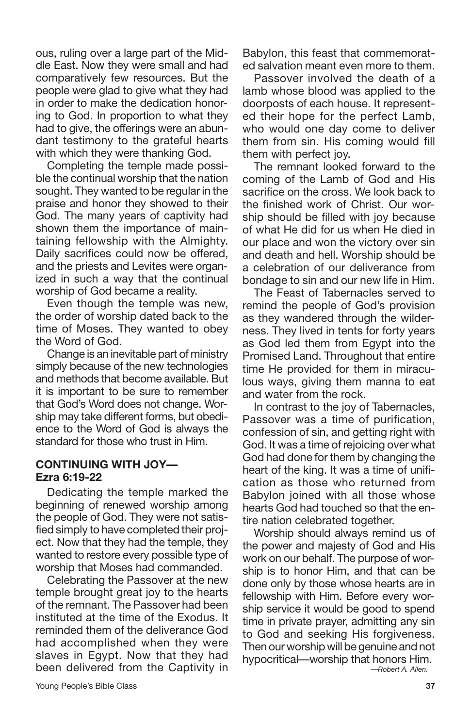ous, ruling over a large part of the Middle East. Now they were small and had comparatively few resources. But the people were glad to give what they had in order to make the dedication honoring to God. In proportion to what they had to give, the offerings were an abundant testimony to the grateful hearts with which they were thanking God.

Completing the temple made possible the continual worship that the nation sought. They wanted to be regular in the praise and honor they showed to their God. The many years of captivity had shown them the importance of maintaining fellowship with the Almighty. Daily sacrifices could now be offered, and the priests and Levites were organized in such a way that the continual worship of God became a reality.

Even though the temple was new, the order of worship dated back to the time of Moses. They wanted to obey the Word of God.

Change is an inevitable part of ministry simply because of the new technologies and methods that become available. But it is important to be sure to remember that God's Word does not change. Worship may take different forms, but obedience to the Word of God is always the standard for those who trust in Him.

#### **CONTINUING WITH JOY— Ezra 6:19-22**

Dedicating the temple marked the beginning of renewed worship among the people of God. They were not satisfied simply to have completed their project. Now that they had the temple, they wanted to restore every possible type of worship that Moses had commanded.

Celebrating the Passover at the new temple brought great joy to the hearts of the remnant. The Passover had been instituted at the time of the Exodus. It reminded them of the deliverance God had accomplished when they were slaves in Egypt. Now that they had been delivered from the Captivity in Babylon, this feast that commemorated salvation meant even more to them.

Passover involved the death of a lamb whose blood was applied to the doorposts of each house. It represented their hope for the perfect Lamb, who would one day come to deliver them from sin. His coming would fill them with perfect joy.

The remnant looked forward to the coming of the Lamb of God and His sacrifice on the cross. We look back to the finished work of Christ. Our worship should be filled with joy because of what He did for us when He died in our place and won the victory over sin and death and hell. Worship should be a celebration of our deliverance from bondage to sin and our new life in Him.

The Feast of Tabernacles served to remind the people of God's provision as they wandered through the wilderness. They lived in tents for forty years as God led them from Egypt into the Promised Land. Throughout that entire time He provided for them in miraculous ways, giving them manna to eat and water from the rock.

In contrast to the joy of Tabernacles, Passover was a time of purification, confession of sin, and getting right with God. It was a time of rejoicing over what God had done for them by changing the heart of the king. It was a time of unification as those who returned from Babylon joined with all those whose hearts God had touched so that the entire nation celebrated together.

Worship should always remind us of the power and majesty of God and His work on our behalf. The purpose of worship is to honor Him, and that can be done only by those whose hearts are in fellowship with Him. Before every worship service it would be good to spend time in private prayer, admitting any sin to God and seeking His forgiveness. Then our worship will be genuine and not hypocritical—worship that honors Him. *—Robert A. Allen.*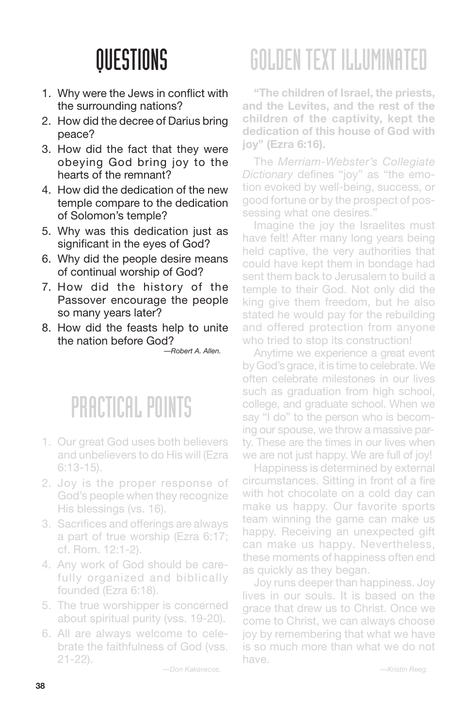- 1. Why were the Jews in conflict with the surrounding nations?
- 2. How did the decree of Darius bring peace?
- 3. How did the fact that they were obeying God bring joy to the hearts of the remnant?
- 4. How did the dedication of the new temple compare to the dedication of Solomon's temple?
- 5. Why was this dedication just as significant in the eyes of God?
- 6. Why did the people desire means of continual worship of God?
- 7. How did the history of the Passover encourage the people so many years later?
- 8. How did the feasts help to unite the nation before God?

*—Robert A. Allen.*

### PRACTICAL POINTS

- 1. Our great God uses both believers and unbelievers to do His will (Ezra 6:13-15).
- 2. Joy is the proper response of God's people when they recognize His blessings (vs. 16).
- 3. Sacrifices and offerings are always a part of true worship (Ezra 6:17; cf. Rom. 12:1-2).
- 4. Any work of God should be carefully organized and biblically founded (Ezra 6:18).
- 5. The true worshipper is concerned about spiritual purity (vss. 19-20).
- 6. All are always welcome to celebrate the faithfulness of God (vss. 21-22).

*—Don Kakavecos.*

# GOLDENTEXT ILLUMINATED

**"The children of Israel, the priests, and the Levites, and the rest of the children of the captivity, kept the dedication of this house of God with joy" (Ezra 6:16).**

The *Merriam-Webster's Collegiate Dictionary* defines "joy" as "the emotion evoked by well-being, success, or good fortune or by the prospect of possessing what one desires.'

Imagine the joy the Israelites must have felt! After many long years being held captive, the very authorities that could have kept them in bondage had sent them back to Jerusalem to build a temple to their God. Not only did the king give them freedom, but he also stated he would pay for the rebuilding and offered protection from anyone who tried to stop its construction!

Anytime we experience a great event by God's grace, it is time to celebrate. We often celebrate milestones in our lives such as graduation from high school, college, and graduate school. When we say "I do" to the person who is becoming our spouse, we throw a massive party. These are the times in our lives when we are not just happy. We are full of joy!

Happiness is determined by external circumstances. Sitting in front of a fire with hot chocolate on a cold day can make us happy. Our favorite sports team winning the game can make us happy. Receiving an unexpected gift can make us happy. Nevertheless, these moments of happiness often end as quickly as they began.

Joy runs deeper than happiness. Joy lives in our souls. It is based on the grace that drew us to Christ. Once we come to Christ, we can always choose joy by remembering that what we have is so much more than what we do not have.

*—Kristin Reeg.*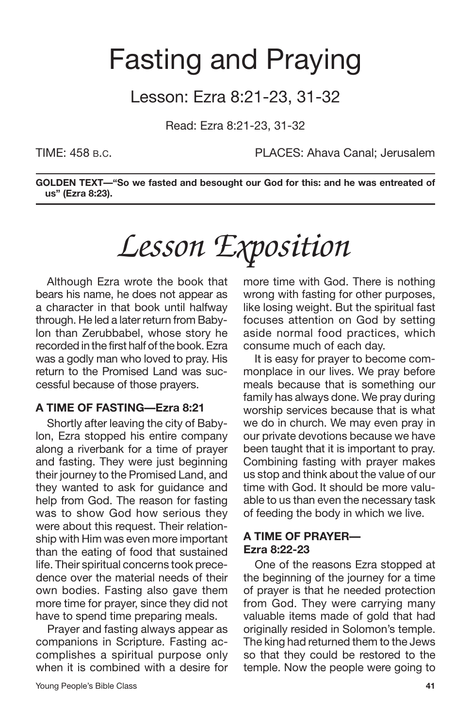## Fasting and Praying

### Lesson: Ezra 8:21-23, 31-32

Read: Ezra 8:21-23, 31-32

TIME: 458 B.C. PLACES: Ahava Canal; Jerusalem

**GOLDEN TEXT—"So we fasted and besought our God for this: and he was entreated of us" (Ezra 8:23).**

# *Lesson Exposition*

Although Ezra wrote the book that bears his name, he does not appear as a character in that book until halfway through. He led a later return from Babylon than Zerubbabel, whose story he recorded in the first half of the book. Ezra was a godly man who loved to pray. His return to the Promised Land was successful because of those prayers.

#### **A TIME OF FASTING—Ezra 8:21**

Shortly after leaving the city of Babylon, Ezra stopped his entire company along a riverbank for a time of prayer and fasting. They were just beginning their journey to the Promised Land, and they wanted to ask for guidance and help from God. The reason for fasting was to show God how serious they were about this request. Their relationship with Him was even more important than the eating of food that sustained life. Their spiritual concerns took precedence over the material needs of their own bodies. Fasting also gave them more time for prayer, since they did not have to spend time preparing meals.

Prayer and fasting always appear as companions in Scripture. Fasting accomplishes a spiritual purpose only when it is combined with a desire for more time with God. There is nothing wrong with fasting for other purposes, like losing weight. But the spiritual fast focuses attention on God by setting aside normal food practices, which consume much of each day.

It is easy for prayer to become commonplace in our lives. We pray before meals because that is something our family has always done. We pray during worship services because that is what we do in church. We may even pray in our private devotions because we have been taught that it is important to pray. Combining fasting with prayer makes us stop and think about the value of our time with God. It should be more valuable to us than even the necessary task of feeding the body in which we live.

#### **A TIME OF PRAYER— Ezra 8:22-23**

One of the reasons Ezra stopped at the beginning of the journey for a time of prayer is that he needed protection from God. They were carrying many valuable items made of gold that had originally resided in Solomon's temple. The king had returned them to the Jews so that they could be restored to the temple. Now the people were going to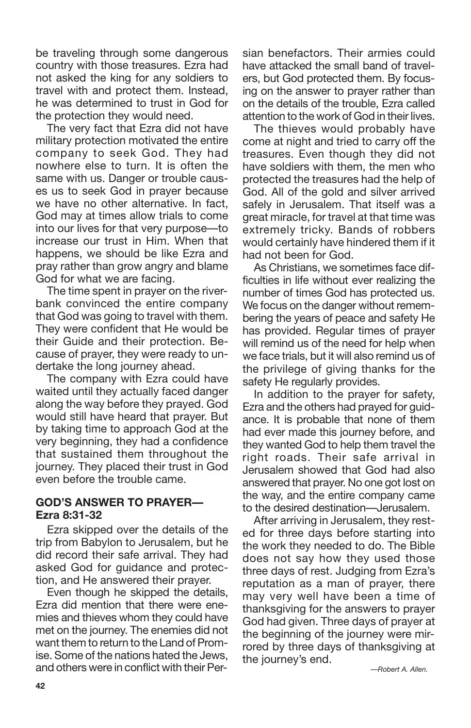be traveling through some dangerous country with those treasures. Ezra had not asked the king for any soldiers to travel with and protect them. Instead, he was determined to trust in God for the protection they would need.

The very fact that Ezra did not have military protection motivated the entire company to seek God. They had nowhere else to turn. It is often the same with us. Danger or trouble causes us to seek God in prayer because we have no other alternative. In fact, God may at times allow trials to come into our lives for that very purpose—to increase our trust in Him. When that happens, we should be like Ezra and pray rather than grow angry and blame God for what we are facing.

The time spent in prayer on the riverbank convinced the entire company that God was going to travel with them. They were confident that He would be their Guide and their protection. Because of prayer, they were ready to undertake the long journey ahead.

The company with Ezra could have waited until they actually faced danger along the way before they prayed. God would still have heard that prayer. But by taking time to approach God at the very beginning, they had a confidence that sustained them throughout the journey. They placed their trust in God even before the trouble came.

### **GOD'S ANSWER TO PRAYER— Ezra 8:31-32**

Ezra skipped over the details of the trip from Babylon to Jerusalem, but he did record their safe arrival. They had asked God for guidance and protection, and He answered their prayer.

Even though he skipped the details, Ezra did mention that there were enemies and thieves whom they could have met on the journey. The enemies did not want them to return to the Land of Promise. Some of the nations hated the Jews, and others were in conflict with their Persian benefactors. Their armies could have attacked the small band of travelers, but God protected them. By focusing on the answer to prayer rather than on the details of the trouble, Ezra called attention to the work of God in their lives.

The thieves would probably have come at night and tried to carry off the treasures. Even though they did not have soldiers with them, the men who protected the treasures had the help of God. All of the gold and silver arrived safely in Jerusalem. That itself was a great miracle, for travel at that time was extremely tricky. Bands of robbers would certainly have hindered them if it had not been for God.

As Christians, we sometimes face difficulties in life without ever realizing the number of times God has protected us. We focus on the danger without remembering the years of peace and safety He has provided. Regular times of prayer will remind us of the need for help when we face trials, but it will also remind us of the privilege of giving thanks for the safety He regularly provides.

In addition to the prayer for safety, Ezra and the others had prayed for guidance. It is probable that none of them had ever made this journey before, and they wanted God to help them travel the right roads. Their safe arrival in Jerusalem showed that God had also answered that prayer. No one got lost on the way, and the entire company came to the desired destination—Jerusalem.

After arriving in Jerusalem, they rested for three days before starting into the work they needed to do. The Bible does not say how they used those three days of rest. Judging from Ezra's reputation as a man of prayer, there may very well have been a time of thanksgiving for the answers to prayer God had given. Three days of prayer at the beginning of the journey were mirrored by three days of thanksgiving at the journey's end.

*—Robert A. Allen.*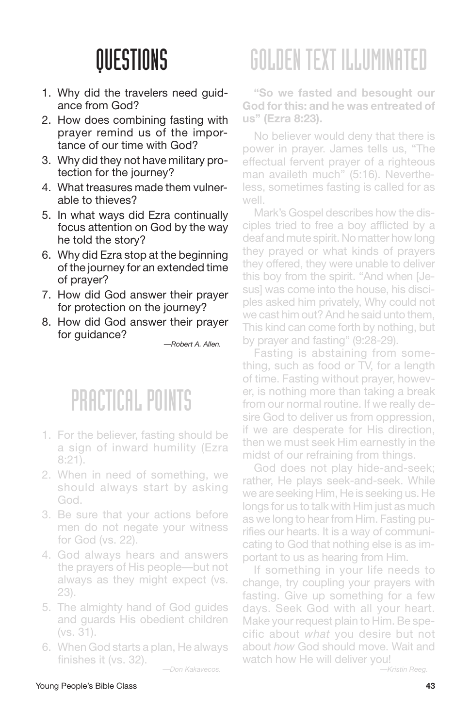- 1. Why did the travelers need guidance from God?
- 2. How does combining fasting with prayer remind us of the importance of our time with God?
- 3. Why did they not have military protection for the journey?
- 4. What treasures made them vulnerable to thieves?
- 5. In what ways did Ezra continually focus attention on God by the way he told the story?
- 6. Why did Ezra stop at the beginning of the journey for an extended time of prayer?
- 7. How did God answer their prayer for protection on the journey?
- 8. How did God answer their prayer for guidance?

*—Robert A. Allen.*

### PRACTICAL POINTS

- 1. For the believer, fasting should be a sign of inward humility (Ezra 8:21).
- 2. When in need of something, we should always start by asking God.
- 3. Be sure that your actions before men do not negate your witness for God (vs. 22).
- 4. God always hears and answers the prayers of His people—but not always as they might expect (vs. 23).
- 5. The almighty hand of God guides and guards His obedient children (vs. 31).
- 6. When God starts a plan, He always finishes it (vs. 32).

*—Don Kakavecos.*

# GOLDENTEXT ILLUMINATED

**"So we fasted and besought our God forthis: and he was entreated of us" (Ezra 8:23).**

No believer would deny that there is power in prayer. James tells us, "The effectual fervent prayer of a righteous man availeth much" (5:16). Nevertheless, sometimes fasting is called for as well.

Mark's Gospel describes how the disciples tried to free a boy afflicted by a deaf and mute spirit. No matter how long they prayed or what kinds of prayers they offered, they were unable to deliver this boy from the spirit. "And when [Jesus] was come into the house, his disciples asked him privately, Why could not we cast him out? And he said unto them, This kind can come forth by nothing, but by prayer and fasting" (9:28-29).

Fasting is abstaining from something, such as food or TV, for a length of time. Fasting without prayer, however, is nothing more than taking a break from our normal routine. If we really desire God to deliver us from oppression, if we are desperate for His direction, then we must seek Him earnestly in the midst of our refraining from things.

God does not play hide-and-seek; rather, He plays seek-and-seek. While we are seeking Him, He is seeking us. He longs for us to talk with Him just as much as we long to hear from Him. Fasting purifies our hearts. It is a way of communicating to God that nothing else is as important to us as hearing from Him.

If something in your life needs to change, try coupling your prayers with fasting. Give up something for a few days. Seek God with all your heart. Make your request plain to Him. Be specific about *what* you desire but not about *how* God should move. Wait and watch how He will deliver you!

*—Kristin Reeg.*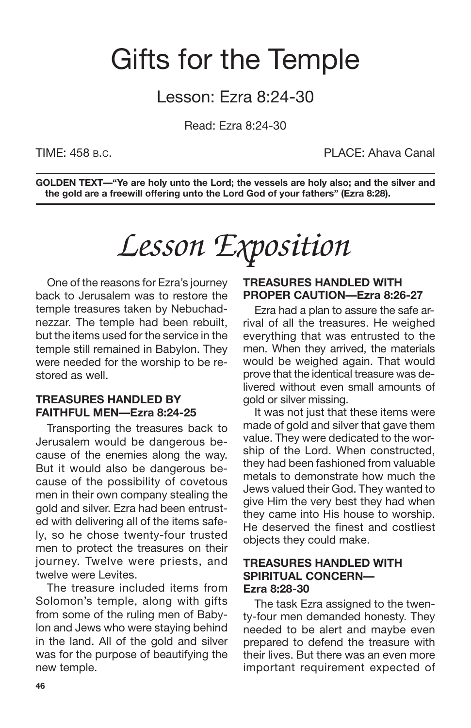## Gifts for the Temple

### Lesson: Ezra 8:24-30

Read: Ezra 8:24-30

TIME: 458 B.C. PLACE: Ahava Canal

**GOLDEN TEXT—"Ye are holy unto the Lord; the vessels are holy also; and the silver and the gold are a freewill offering unto the Lord God of your fathers" (Ezra 8:28).**

*Lesson Exposition*

One of the reasons for Ezra's journey back to Jerusalem was to restore the temple treasures taken by Nebuchadnezzar. The temple had been rebuilt, but the items used for the service in the temple still remained in Babylon. They were needed for the worship to be restored as well.

### **TREASURES HANDLED BY FAITHFUL MEN—Ezra 8:24-25**

Transporting the treasures back to Jerusalem would be dangerous because of the enemies along the way. But it would also be dangerous because of the possibility of covetous men in their own company stealing the gold and silver. Ezra had been entrusted with delivering all of the items safely, so he chose twenty-four trusted men to protect the treasures on their journey. Twelve were priests, and twelve were Levites.

The treasure included items from Solomon's temple, along with gifts from some of the ruling men of Babylon and Jews who were staying behind in the land. All of the gold and silver was for the purpose of beautifying the new temple.

#### **TREASURES HANDLED WITH PROPER CAUTION—Ezra 8:26-27**

Ezra had a plan to assure the safe arrival of all the treasures. He weighed everything that was entrusted to the men. When they arrived, the materials would be weighed again. That would prove that the identical treasure was delivered without even small amounts of gold or silver missing.

It was not just that these items were made of gold and silver that gave them value. They were dedicated to the worship of the Lord. When constructed, they had been fashioned from valuable metals to demonstrate how much the Jews valued their God. They wanted to give Him the very best they had when they came into His house to worship. He deserved the finest and costliest objects they could make.

#### **TREASURES HANDLED WITH SPIRITUAL CONCERN— Ezra 8:28-30**

The task Ezra assigned to the twenty-four men demanded honesty. They needed to be alert and maybe even prepared to defend the treasure with their lives. But there was an even more important requirement expected of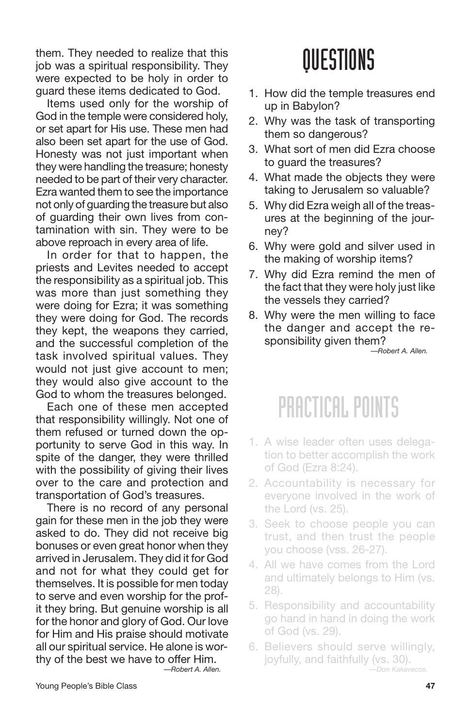them. They needed to realize that this job was a spiritual responsibility. They were expected to be holy in order to guard these items dedicated to God.

Items used only for the worship of God in the temple were considered holy, or set apart for His use. These men had also been set apart for the use of God. Honesty was not just important when they were handling the treasure; honesty needed to be part of their very character. Ezra wanted them to see the importance not only of guarding the treasure but also of guarding their own lives from contamination with sin. They were to be above reproach in every area of life.

In order for that to happen, the priests and Levites needed to accept the responsibility as a spiritual job. This was more than just something they were doing for Ezra; it was something they were doing for God. The records they kept, the weapons they carried, and the successful completion of the task involved spiritual values. They would not just give account to men; they would also give account to the God to whom the treasures belonged.

Each one of these men accepted that responsibility willingly. Not one of them refused or turned down the opportunity to serve God in this way. In spite of the danger, they were thrilled with the possibility of giving their lives over to the care and protection and transportation of God's treasures.

There is no record of any personal gain for these men in the job they were asked to do. They did not receive big bonuses or even great honor when they arrived in Jerusalem. They did it for God and not for what they could get for themselves. It is possible for men today to serve and even worship for the profit they bring. But genuine worship is all for the honor and glory of God. Our love for Him and His praise should motivate all our spiritual service. He alone is worthy of the best we have to offer Him. *—Robert A. Allen.*

QUESTIONS

- 1. How did the temple treasures end up in Babylon?
- 2. Why was the task of transporting them so dangerous?
- 3. What sort of men did Ezra choose to guard the treasures?
- 4. What made the objects they were taking to Jerusalem so valuable?
- 5. Why did Ezra weigh all of the treasures at the beginning of the journey?
- 6. Why were gold and silver used in the making of worship items?
- 7. Why did Ezra remind the men of the fact that they were holy just like the vessels they carried?
- 8. Why were the men willing to face the danger and accept the responsibility given them?

*—Robert A. Allen.*

### PRACTICAL POINTS

- 1. A wise leader often uses delegation to better accomplish the work of God (Ezra 8:24).
- 2. Accountability is necessary for everyone involved in the work of the Lord (vs. 25).
- 3. Seek to choose people you can trust, and then trust the people you choose (vss. 26-27).
- 4. All we have comes from the Lord and ultimately belongs to Him (vs. 28).
- 5. Responsibility and accountability go hand in hand in doing the work of God (vs. 29).
- 6. Believers should serve willingly, joyfully, and faithfully (vs. 30). *—Don Kakavecos.*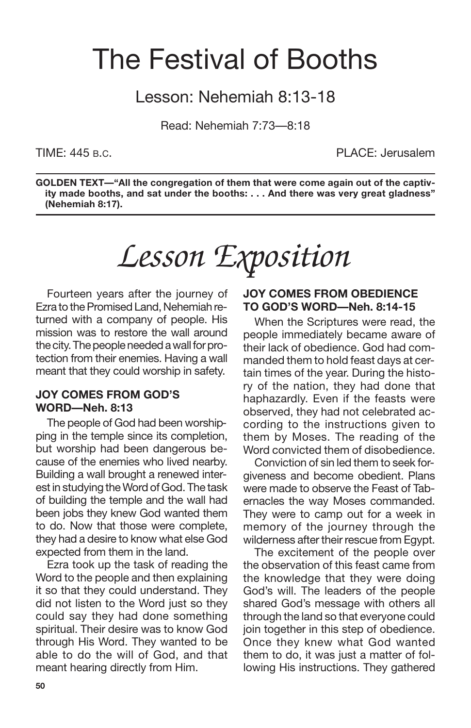## The Festival of Booths

### Lesson: Nehemiah 8:13-18

Read: Nehemiah 7:73—8:18

TIME: 445 B.C. PLACE: Jerusalem

**GOLDEN TEXT—"All the congregation of them that were come again out of the captivity made booths, and sat under the booths: . . . And there was very great gladness" (Nehemiah 8:17).**

*Lesson Exposition*

Fourteen years after the journey of Ezra to the Promised Land, Nehemiah returned with a company of people. His mission was to restore the wall around the city. The people needed a wall for protection from their enemies. Having a wall meant that they could worship in safety.

#### **JOY COMES FROM GOD'S WORD—Neh. 8:13**

The people of God had been worshipping in the temple since its completion, but worship had been dangerous because of the enemies who lived nearby. Building a wall brought a renewed interest in studying the Word of God. The task of building the temple and the wall had been jobs they knew God wanted them to do. Now that those were complete, they had a desire to know what else God expected from them in the land.

Ezra took up the task of reading the Word to the people and then explaining it so that they could understand. They did not listen to the Word just so they could say they had done something spiritual. Their desire was to know God through His Word. They wanted to be able to do the will of God, and that meant hearing directly from Him.

#### **JOY COMES FROM OBEDIENCE TO GOD'S WORD—Neh. 8:14-15**

When the Scriptures were read, the people immediately became aware of their lack of obedience. God had commanded them to hold feast days at certain times of the year. During the history of the nation, they had done that haphazardly. Even if the feasts were observed, they had not celebrated according to the instructions given to them by Moses. The reading of the Word convicted them of disobedience.

Conviction of sin led them to seek forgiveness and become obedient. Plans were made to observe the Feast of Tabernacles the way Moses commanded. They were to camp out for a week in memory of the journey through the wilderness after their rescue from Egypt.

The excitement of the people over the observation of this feast came from the knowledge that they were doing God's will. The leaders of the people shared God's message with others all through the land so that everyone could join together in this step of obedience. Once they knew what God wanted them to do, it was just a matter of following His instructions. They gathered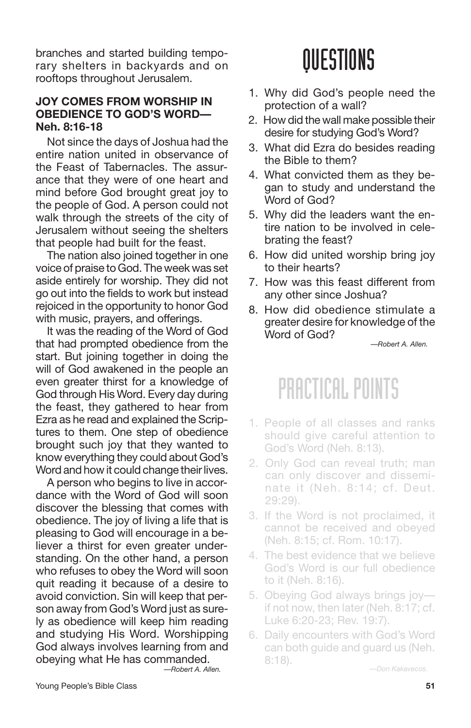branches and started building temporary shelters in backyards and on rooftops throughout Jerusalem.

### **JOY COMES FROM WORSHIP IN OBEDIENCE TO GOD'S WORD— Neh. 8:16-18**

Not since the days of Joshua had the entire nation united in observance of the Feast of Tabernacles. The assurance that they were of one heart and mind before God brought great joy to the people of God. A person could not walk through the streets of the city of Jerusalem without seeing the shelters that people had built for the feast.

The nation also joined together in one voice of praise to God. The week was set aside entirely for worship. They did not go out into the fields to work but instead rejoiced in the opportunity to honor God with music, prayers, and offerings.

It was the reading of the Word of God that had prompted obedience from the start. But joining together in doing the will of God awakened in the people an even greater thirst for a knowledge of God through His Word. Every day during the feast, they gathered to hear from Ezra as he read and explained the Scriptures to them. One step of obedience brought such joy that they wanted to know everything they could about God's Word and how it could change their lives.

A person who begins to live in accordance with the Word of God will soon discover the blessing that comes with obedience. The joy of living a life that is pleasing to God will encourage in a believer a thirst for even greater understanding. On the other hand, a person who refuses to obey the Word will soon quit reading it because of a desire to avoid conviction. Sin will keep that person away from God's Word just as surely as obedience will keep him reading and studying His Word. Worshipping God always involves learning from and obeying what He has commanded. *—Robert A. Allen.*

## QUESTIONS

- 1. Why did God's people need the protection of a wall?
- 2. How did the wall make possible their desire for studying God's Word?
- 3. What did Ezra do besides reading the Bible to them?
- 4. What convicted them as they began to study and understand the Word of God?
- 5. Why did the leaders want the entire nation to be involved in celebrating the feast?
- 6. How did united worship bring joy to their hearts?
- 7. How was this feast different from any other since Joshua?
- 8. How did obedience stimulate a greater desire for knowledge of the Word of God?

*—Robert A. Allen.*

## PRACTICAL POINTS

- 1. People of all classes and ranks should give careful attention to God's Word (Neh. 8:13).
- 2. Only God can reveal truth; man can only discover and disseminate it (Neh. 8:14; cf. Deut. 29:29).
- 3. If the Word is not proclaimed, it cannot be received and obeyed (Neh. 8:15; cf. Rom. 10:17).
- 4. The best evidence that we believe God's Word is our full obedience to it (Neh. 8:16).
- 5. Obeying God always brings joy if not now, then later (Neh. 8:17; cf. Luke 6:20-23; Rev. 19:7).
- 6. Daily encounters with God's Word can both guide and guard us (Neh.<br>8:18).

8:18). *—Don Kakavecos.*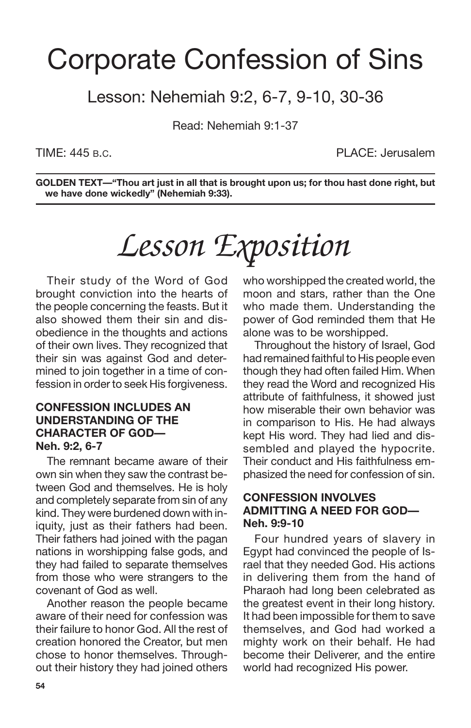## Corporate Confession of Sins

### Lesson: Nehemiah 9:2, 6-7, 9-10, 30-36

Read: Nehemiah 9:1-37

TIME: 445 B.C. PLACE: Jerusalem

**GOLDEN TEXT—"Thou art just in all that is brought upon us; for thou hast done right, but we have done wickedly" (Nehemiah 9:33).**

# *Lesson Exposition*

Their study of the Word of God brought conviction into the hearts of the people concerning the feasts. But it also showed them their sin and disobedience in the thoughts and actions of their own lives. They recognized that their sin was against God and determined to join together in a time of confession in order to seek His forgiveness.

### **CONFESSION INCLUDES AN UNDERSTANDING OF THE CHARACTER OF GOD— Neh. 9:2, 6-7**

The remnant became aware of their own sin when they saw the contrast between God and themselves. He is holy and completely separate from sin of any kind. They were burdened down with iniquity, just as their fathers had been. Their fathers had joined with the pagan nations in worshipping false gods, and they had failed to separate themselves from those who were strangers to the covenant of God as well.

Another reason the people became aware of their need for confession was their failure to honor God. All the rest of creation honored the Creator, but men chose to honor themselves. Throughout their history they had joined others who worshipped the created world, the moon and stars, rather than the One who made them. Understanding the power of God reminded them that He alone was to be worshipped.

Throughout the history of Israel, God had remained faithful to His people even though they had often failed Him. When they read the Word and recognized His attribute of faithfulness, it showed just how miserable their own behavior was in comparison to His. He had always kept His word. They had lied and dissembled and played the hypocrite. Their conduct and His faithfulness emphasized the need for confession of sin.

### **CONFESSION INVOLVES ADMITTING A NEED FOR GOD— Neh. 9:9-10**

Four hundred years of slavery in Egypt had convinced the people of Israel that they needed God. His actions in delivering them from the hand of Pharaoh had long been celebrated as the greatest event in their long history. It had been impossible for them to save themselves, and God had worked a mighty work on their behalf. He had become their Deliverer, and the entire world had recognized His power.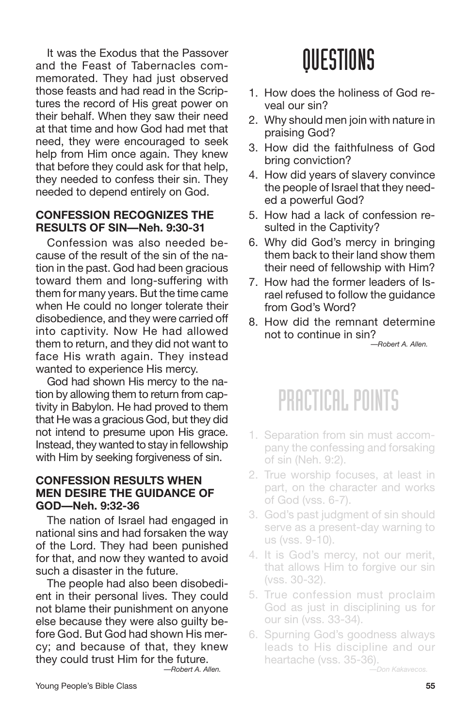It was the Exodus that the Passover and the Feast of Tabernacles commemorated. They had just observed those feasts and had read in the Scriptures the record of His great power on their behalf. When they saw their need at that time and how God had met that need, they were encouraged to seek help from Him once again. They knew that before they could ask for that help, they needed to confess their sin. They needed to depend entirely on God.

### **CONFESSION RECOGNIZES THE RESULTS OF SIN—Neh. 9:30-31**

Confession was also needed because of the result of the sin of the nation in the past. God had been gracious toward them and long-suffering with them for many years. But the time came when He could no longer tolerate their disobedience, and they were carried off into captivity. Now He had allowed them to return, and they did not want to face His wrath again. They instead wanted to experience His mercy.

God had shown His mercy to the nation by allowing them to return from captivity in Babylon. He had proved to them that He was a gracious God, but they did not intend to presume upon His grace. Instead, they wanted to stay in fellowship with Him by seeking forgiveness of sin.

### **CONFESSION RESULTS WHEN MEN DESIRE THE GUIDANCE OF GOD—Neh. 9:32-36**

The nation of Israel had engaged in national sins and had forsaken the way of the Lord. They had been punished for that, and now they wanted to avoid such a disaster in the future.

The people had also been disobedient in their personal lives. They could not blame their punishment on anyone else because they were also guilty before God. But God had shown His mercy; and because of that, they knew they could trust Him for the future.

*—Robert A. Allen.*

## **OUESTIONS**

- 1. How does the holiness of God reveal our sin?
- 2. Why should men join with nature in praising God?
- 3. How did the faithfulness of God bring conviction?
- 4. How did years of slavery convince the people of Israel that they needed a powerful God?
- 5. How had a lack of confession resulted in the Captivity?
- 6. Why did God's mercy in bringing them back to their land show them their need of fellowship with Him?
- 7. How had the former leaders of Israel refused to follow the guidance from God's Word?
- 8. How did the remnant determine not to continue in sin?

*—Robert A. Allen.*

### PRACTICAL POINTS

- 1. Separation from sin must accompany the confessing and forsaking of sin (Neh. 9:2).
- 2. True worship focuses, at least in part, on the character and works of God (vss. 6-7).
- 3. God's past judgment of sin should serve as a present-day warning to us (vss. 9-10).
- 4. It is God's mercy, not our merit, that allows Him to forgive our sin (vss. 30-32).
- 5. True confession must proclaim God as just in disciplining us for our sin (vss. 33-34).
- 6. Spurning God's goodness always leads to His discipline and our heartache (vss. 35-36).

*—Don Kakavecos.*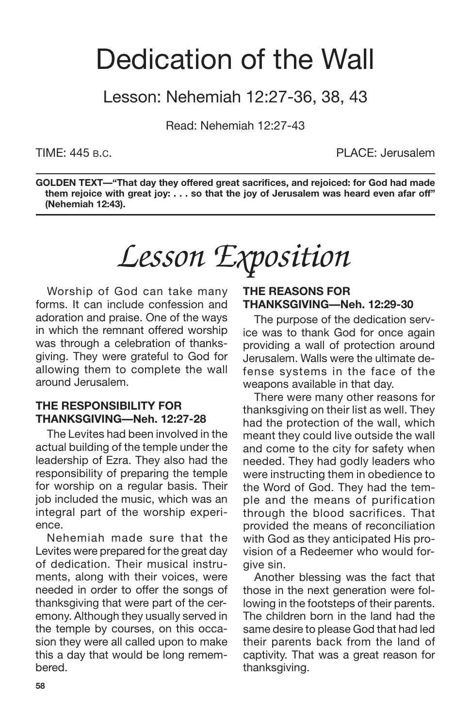## Dedication of the Wall

### Lesson: Nehemiah 12:27-36, 38, 43

Read: Nehemiah 12:27-43

TIME: 445 B.C. PLACE: Jerusalem

**GOLDEN TEXT—"That day they offered great sacrifices, and rejoiced: for God had made them rejoice with great joy: . . . so that the joy of Jerusalem was heard even afar off" (Nehemiah 12:43).**

*Lesson Exposition*

Worship of God can take many forms. It can include confession and adoration and praise. One of the ways in which the remnant offered worship was through a celebration of thanksgiving. They were grateful to God for allowing them to complete the wall around Jerusalem.

### **THE RESPONSIBILITY FOR THANKSGIVING—Neh. 12:27-28**

The Levites had been involved in the actual building of the temple under the leadership of Ezra. They also had the responsibility of preparing the temple for worship on a regular basis. Their job included the music, which was an integral part of the worship experience.

Nehemiah made sure that the Levites were prepared for the great day of dedication. Their musical instruments, along with their voices, were needed in order to offer the songs of thanksgiving that were part of the ceremony. Although they usually served in the temple by courses, on this occasion they were all called upon to make this a day that would be long remembered.

### **THE REASONS FOR THANKSGIVING—Neh. 12:29-30**

The purpose of the dedication service was to thank God for once again providing a wall of protection around Jerusalem. Walls were the ultimate defense systems in the face of the weapons available in that day.

There were many other reasons for thanksgiving on their list as well. They had the protection of the wall, which meant they could live outside the wall and come to the city for safety when needed. They had godly leaders who were instructing them in obedience to the Word of God. They had the temple and the means of purification through the blood sacrifices. That provided the means of reconciliation with God as they anticipated His provision of a Redeemer who would forgive sin.

Another blessing was the fact that those in the next generation were following in the footsteps of their parents. The children born in the land had the same desire to please God that had led their parents back from the land of captivity. That was a great reason for thanksgiving.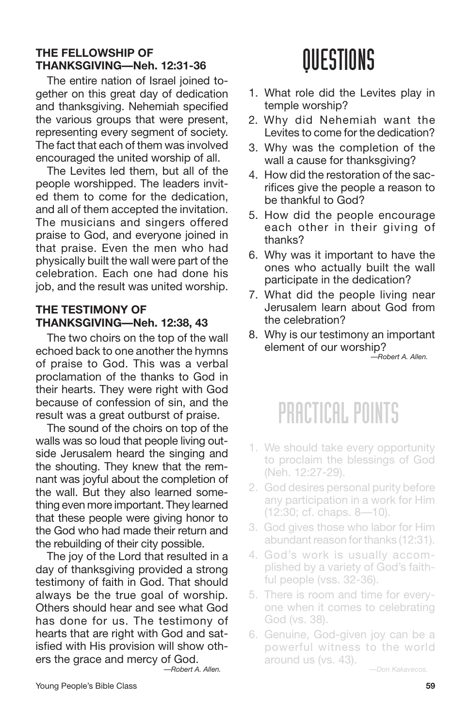### **THE FELLOWSHIP OF THANKSGIVING—Neh. 12:31-36**

The entire nation of Israel joined together on this great day of dedication and thanksgiving. Nehemiah specified the various groups that were present, representing every segment of society. The fact that each of them was involved encouraged the united worship of all.

The Levites led them, but all of the people worshipped. The leaders invited them to come for the dedication, and all of them accepted the invitation. The musicians and singers offered praise to God, and everyone joined in that praise. Even the men who had physically built the wall were part of the celebration. Each one had done his job, and the result was united worship.

### **THE TESTIMONY OF THANKSGIVING—Neh. 12:38, 43**

The two choirs on the top of the wall echoed back to one another the hymns of praise to God. This was a verbal proclamation of the thanks to God in their hearts. They were right with God because of confession of sin, and the result was a great outburst of praise.

The sound of the choirs on top of the walls was so loud that people living outside Jerusalem heard the singing and the shouting. They knew that the remnant was joyful about the completion of the wall. But they also learned something even more important. They learned that these people were giving honor to the God who had made their return and the rebuilding of their city possible.

The joy of the Lord that resulted in a day of thanksgiving provided a strong testimony of faith in God. That should always be the true goal of worship. Others should hear and see what God has done for us. The testimony of hearts that are right with God and satisfied with His provision will show others the grace and mercy of God. *—Robert A. Allen.*

QUESTIONS

- 1. What role did the Levites play in temple worship?
- 2. Why did Nehemiah want the Levites to come for the dedication?
- 3. Why was the completion of the wall a cause for thanksgiving?
- 4. How did the restoration of the sacrifices give the people a reason to be thankful to God?
- 5. How did the people encourage each other in their giving of thanks?
- 6. Why was it important to have the ones who actually built the wall participate in the dedication?
- 7. What did the people living near Jerusalem learn about God from the celebration?
- 8. Why is our testimony an important element of our worship? *—Robert A. Allen.*

### PRACTICAL POINTS

- 1. We should take every opportunity to proclaim the blessings of God (Neh. 12:27-29).
- 2. God desires personal purity before any participation in a work for Him (12:30; cf. chaps. 8—10).
- 3. God gives those who labor for Him abundant reason for thanks (12:31).
- 4. God's work is usually accomplished by a variety of God's faithful people (vss. 32-36).
- 5. There is room and time for everyone when it comes to celebrating God (vs. 38).
- 6. Genuine, God-given joy can be a powerful witness to the world around us (vs. 43).

*—Don Kakavecos.*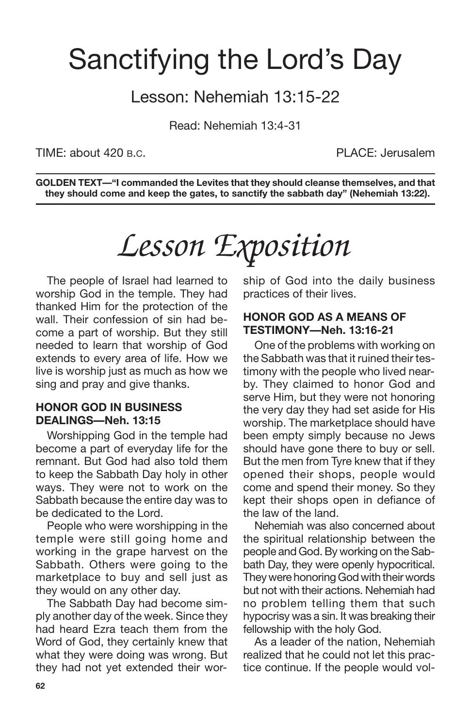## Sanctifying the Lord's Day

### Lesson: Nehemiah 13:15-22

Read: Nehemiah 13:4-31

TIME: about 420 B.C. PLACE: Jerusalem

**GOLDEN TEXT—"I commanded the Levites that they should cleanse themselves, and that they should come and keep the gates, to sanctify the sabbath day" (Nehemiah 13:22).**

*Lesson Exposition*

The people of Israel had learned to worship God in the temple. They had thanked Him for the protection of the wall. Their confession of sin had become a part of worship. But they still needed to learn that worship of God extends to every area of life. How we live is worship just as much as how we sing and pray and give thanks.

### **HONOR GOD IN BUSINESS DEALINGS—Neh. 13:15**

Worshipping God in the temple had become a part of everyday life for the remnant. But God had also told them to keep the Sabbath Day holy in other ways. They were not to work on the Sabbath because the entire day was to be dedicated to the Lord.

People who were worshipping in the temple were still going home and working in the grape harvest on the Sabbath. Others were going to the marketplace to buy and sell just as they would on any other day.

The Sabbath Day had become simply another day of the week. Since they had heard Ezra teach them from the Word of God, they certainly knew that what they were doing was wrong. But they had not yet extended their worship of God into the daily business practices of their lives.

#### **HONOR GOD AS A MEANS OF TESTIMONY—Neh. 13:16-21**

One of the problems with working on the Sabbath was that it ruined their testimony with the people who lived nearby. They claimed to honor God and serve Him, but they were not honoring the very day they had set aside for His worship. The marketplace should have been empty simply because no Jews should have gone there to buy or sell. But the men from Tyre knew that if they opened their shops, people would come and spend their money. So they kept their shops open in defiance of the law of the land.

Nehemiah was also concerned about the spiritual relationship between the people and God. By working on the Sabbath Day, they were openly hypocritical. They were honoring God with their words but not with their actions. Nehemiah had no problem telling them that such hypocrisy was a sin. It was breaking their fellowship with the holy God.

As a leader of the nation, Nehemiah realized that he could not let this practice continue. If the people would vol